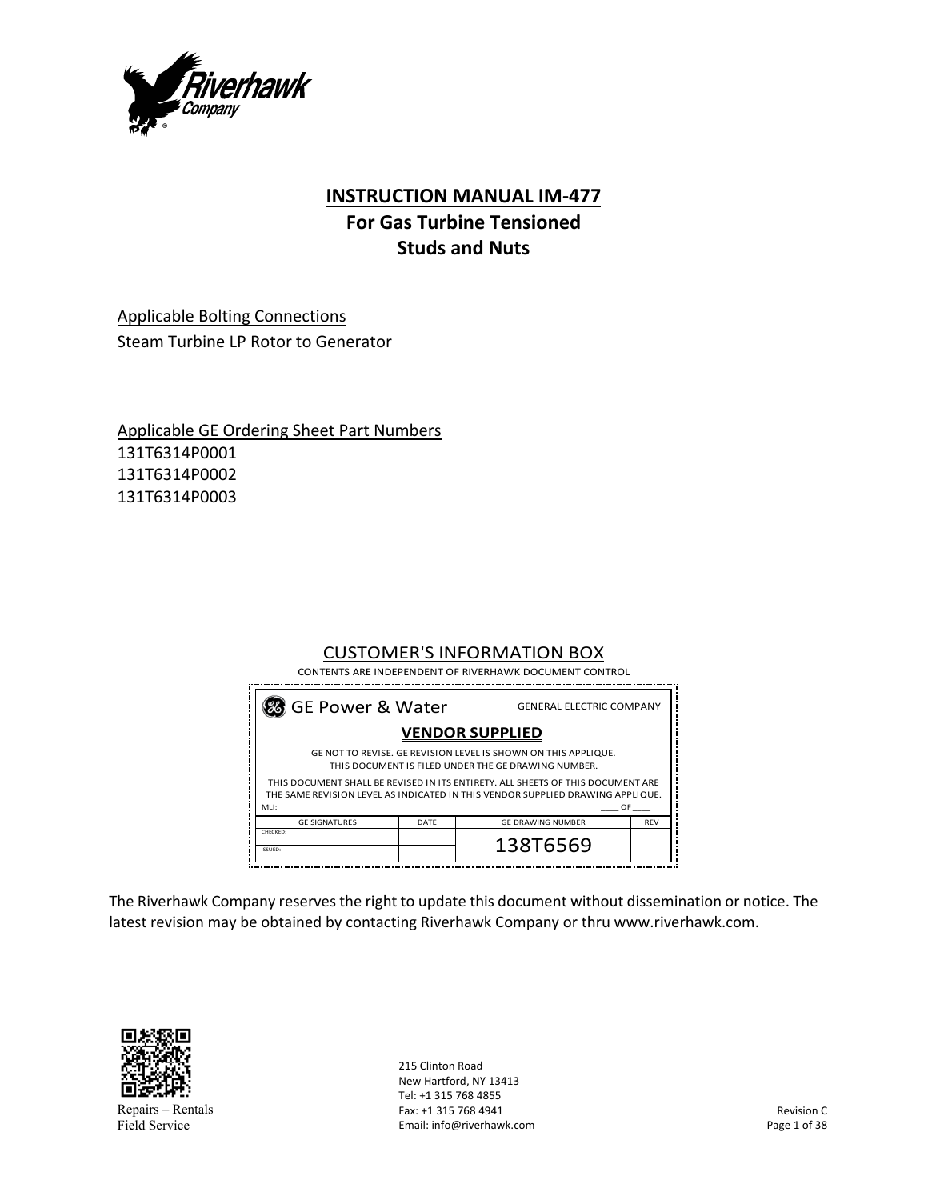

## **INSTRUCTION MANUAL IM‐477**

# **For Gas Turbine Tensioned Studs and Nuts**

Applicable Bolting Connections Steam Turbine LP Rotor to Generator

Applicable GE Ordering Sheet Part Numbers 131T6314P0001 131T6314P0002 131T6314P0003

## CUSTOMER'S INFORMATION BOX

CONTENTS ARE INDEPENDENT OF RIVERHAWK DOCUMENT CONTROL

| 3 GE Power & Water<br><b>GENERAL ELECTRIC COMPANY</b> |      |                                                                                                                                                                                                                                                                                            |            |
|-------------------------------------------------------|------|--------------------------------------------------------------------------------------------------------------------------------------------------------------------------------------------------------------------------------------------------------------------------------------------|------------|
| <b>VENDOR SUPPLIED</b>                                |      |                                                                                                                                                                                                                                                                                            |            |
| MH:                                                   |      | GE NOT TO REVISE. GE REVISION LEVEL IS SHOWN ON THIS APPLIQUE.<br>THIS DOCUMENT IS FILED UNDER THE GE DRAWING NUMBER.<br>THIS DOCUMENT SHALL BE REVISED IN ITS ENTIRETY. ALL SHEETS OF THIS DOCUMENT ARE<br>THE SAME REVISION LEVEL AS INDICATED IN THIS VENDOR SUPPLIED DRAWING APPLIQUE. | OF         |
| <b>GE SIGNATURES</b>                                  | DATF | <b>GE DRAWING NUMBER</b>                                                                                                                                                                                                                                                                   | <b>RFV</b> |
| CHECKED:<br>ISSUED:                                   |      | 138T6569                                                                                                                                                                                                                                                                                   |            |

The Riverhawk Company reserves the right to update this document without dissemination or notice. The latest revision may be obtained by contacting Riverhawk Company or thru www.riverhawk.com.



Repairs – Rentals Field Service

215 Clinton Road New Hartford, NY 13413 Tel: +1 315 768 4855 Fax: +1 315 768 4941 Email: info@riverhawk.com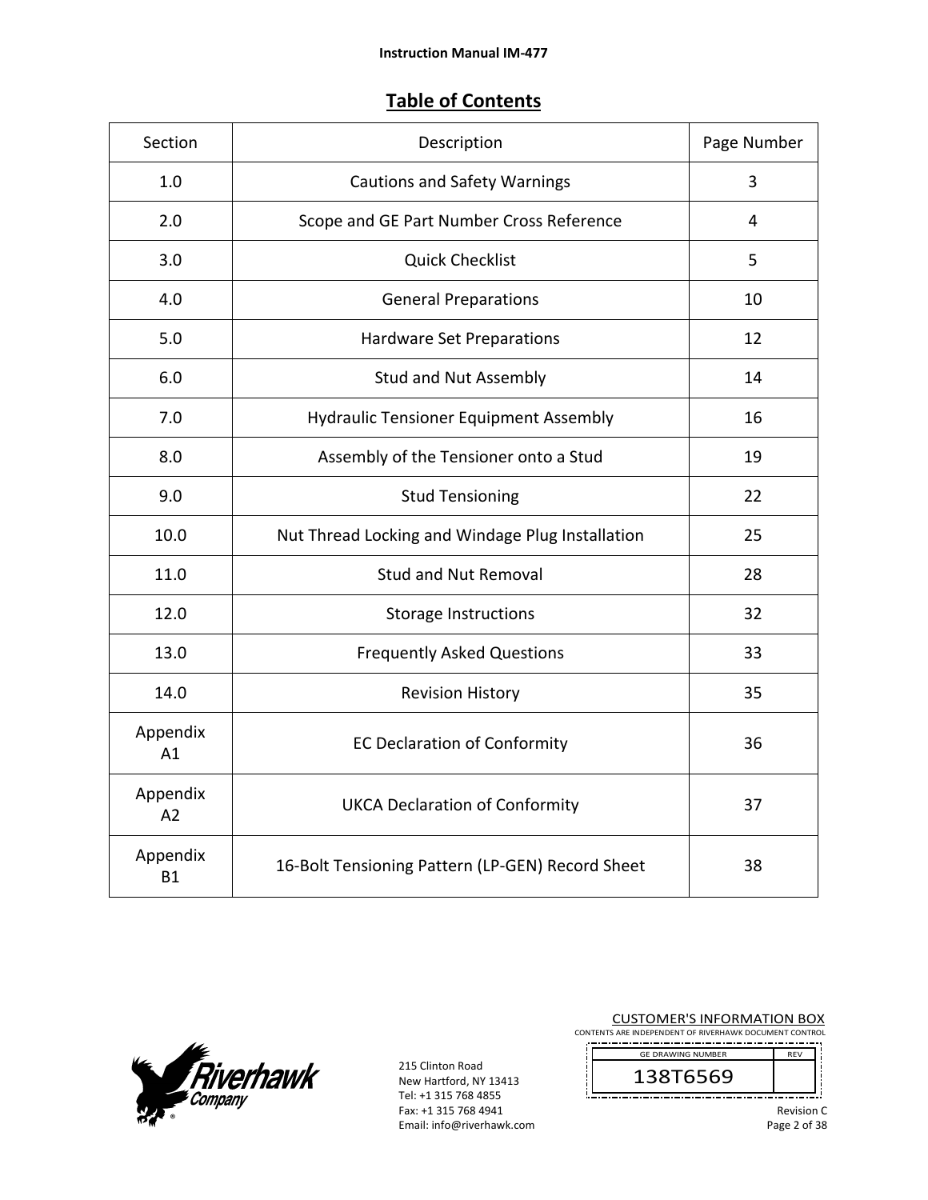## **Table of Contents**

| Section               | Description                                      | Page Number |
|-----------------------|--------------------------------------------------|-------------|
| 1.0                   | <b>Cautions and Safety Warnings</b>              | 3           |
| 2.0                   | Scope and GE Part Number Cross Reference         | 4           |
| 3.0                   | <b>Quick Checklist</b>                           | 5           |
| 4.0                   | <b>General Preparations</b>                      | 10          |
| 5.0                   | Hardware Set Preparations                        | 12          |
| 6.0                   | <b>Stud and Nut Assembly</b>                     | 14          |
| 7.0                   | <b>Hydraulic Tensioner Equipment Assembly</b>    | 16          |
| 8.0                   | Assembly of the Tensioner onto a Stud            | 19          |
| 9.0                   | <b>Stud Tensioning</b>                           | 22          |
| 10.0                  | Nut Thread Locking and Windage Plug Installation | 25          |
| 11.0                  | <b>Stud and Nut Removal</b>                      | 28          |
| 12.0                  | Storage Instructions                             | 32          |
| 13.0                  | <b>Frequently Asked Questions</b>                | 33          |
| 14.0                  | <b>Revision History</b>                          | 35          |
| Appendix<br>A1        | <b>EC Declaration of Conformity</b>              | 36          |
| Appendix<br>A2        | <b>UKCA Declaration of Conformity</b>            | 37          |
| Appendix<br><b>B1</b> | 16-Bolt Tensioning Pattern (LP-GEN) Record Sheet | 38          |



215 Clinton Road New Hartford, NY 13413 Tel: +1 315 768 4855 Fax: +1 315 768 4941 Email: info@riverhawk.com

J.

CUSTOMER'S INFORMATION BOX

CONTENTS ARE INDEPENDENT OF RIVERHAWK DOCUMENT CONTROL ------------------

> GE DRAWING NUMBER REV 138T6569 \_\_\_\_\_\_\_\_\_\_\_\_\_

j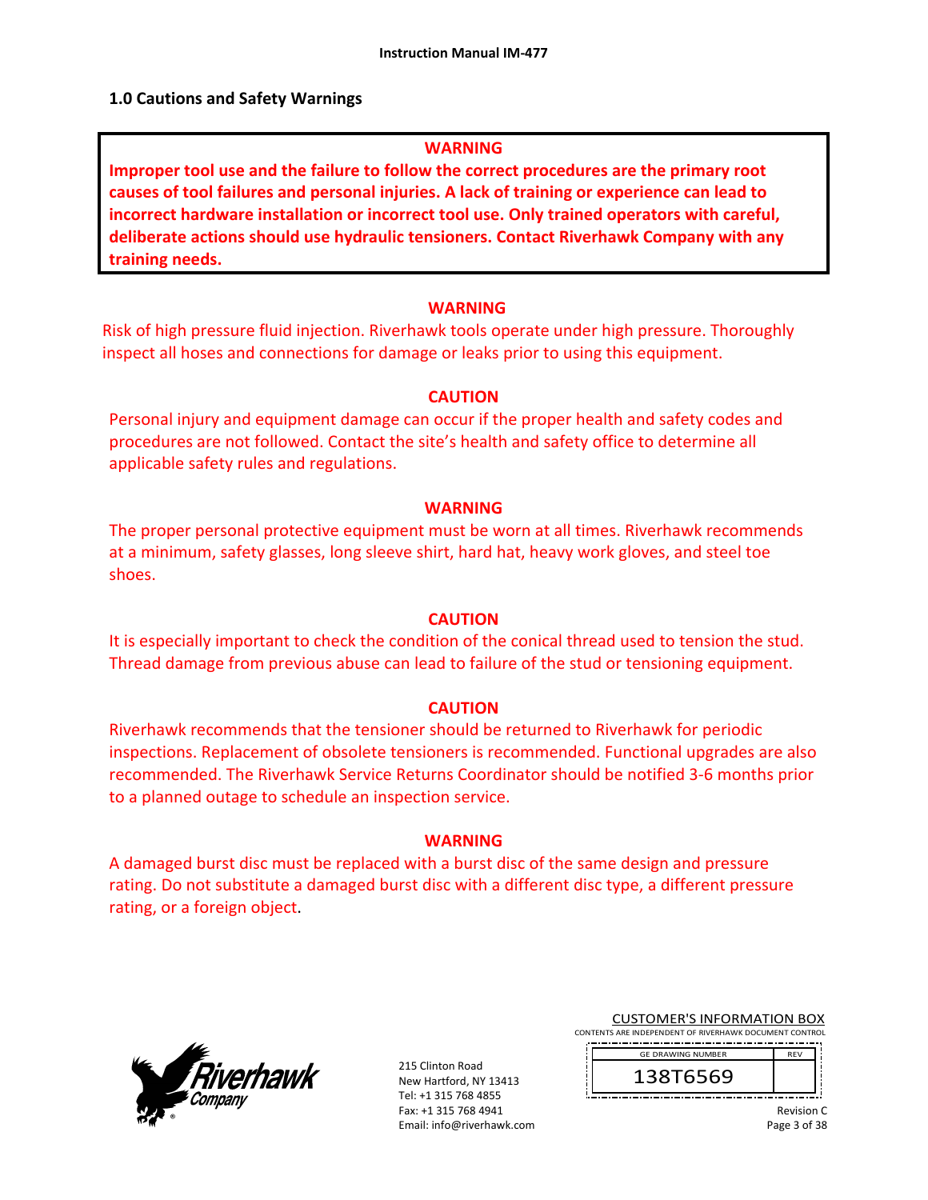#### **1.0 Cautions and Safety Warnings**

#### **WARNING**

**Improper tool use and the failure to follow the correct procedures are the primary root causes of tool failures and personal injuries. A lack of training or experience can lead to incorrect hardware installation or incorrect tool use. Only trained operators with careful, deliberate actions should use hydraulic tensioners. Contact Riverhawk Company with any training needs.** 

#### **WARNING**

Risk of high pressure fluid injection. Riverhawk tools operate under high pressure. Thoroughly inspect all hoses and connections for damage or leaks prior to using this equipment.

#### **CAUTION**

Personal injury and equipment damage can occur if the proper health and safety codes and procedures are not followed. Contact the site's health and safety office to determine all applicable safety rules and regulations.

#### **WARNING**

The proper personal protective equipment must be worn at all times. Riverhawk recommends at a minimum, safety glasses, long sleeve shirt, hard hat, heavy work gloves, and steel toe shoes.

#### **CAUTION**

It is especially important to check the condition of the conical thread used to tension the stud. Thread damage from previous abuse can lead to failure of the stud or tensioning equipment.

#### **CAUTION**

Riverhawk recommends that the tensioner should be returned to Riverhawk for periodic inspections. Replacement of obsolete tensioners is recommended. Functional upgrades are also recommended. The Riverhawk Service Returns Coordinator should be notified 3‐6 months prior to a planned outage to schedule an inspection service.

#### **WARNING**

A damaged burst disc must be replaced with a burst disc of the same design and pressure rating. Do not substitute a damaged burst disc with a different disc type, a different pressure rating, or a foreign object.



215 Clinton Road New Hartford, NY 13413 Tel: +1 315 768 4855 Fax: +1 315 768 4941 Email: info@riverhawk.com

CUSTOMER'S INFORMATION BOX CONTENTS ARE INDEPENDENT OF RIVERHAWK DOCUMENT CONTROL

REV 138T6569 GE DRAWING NUMBER

> Revision C Page 3 of 38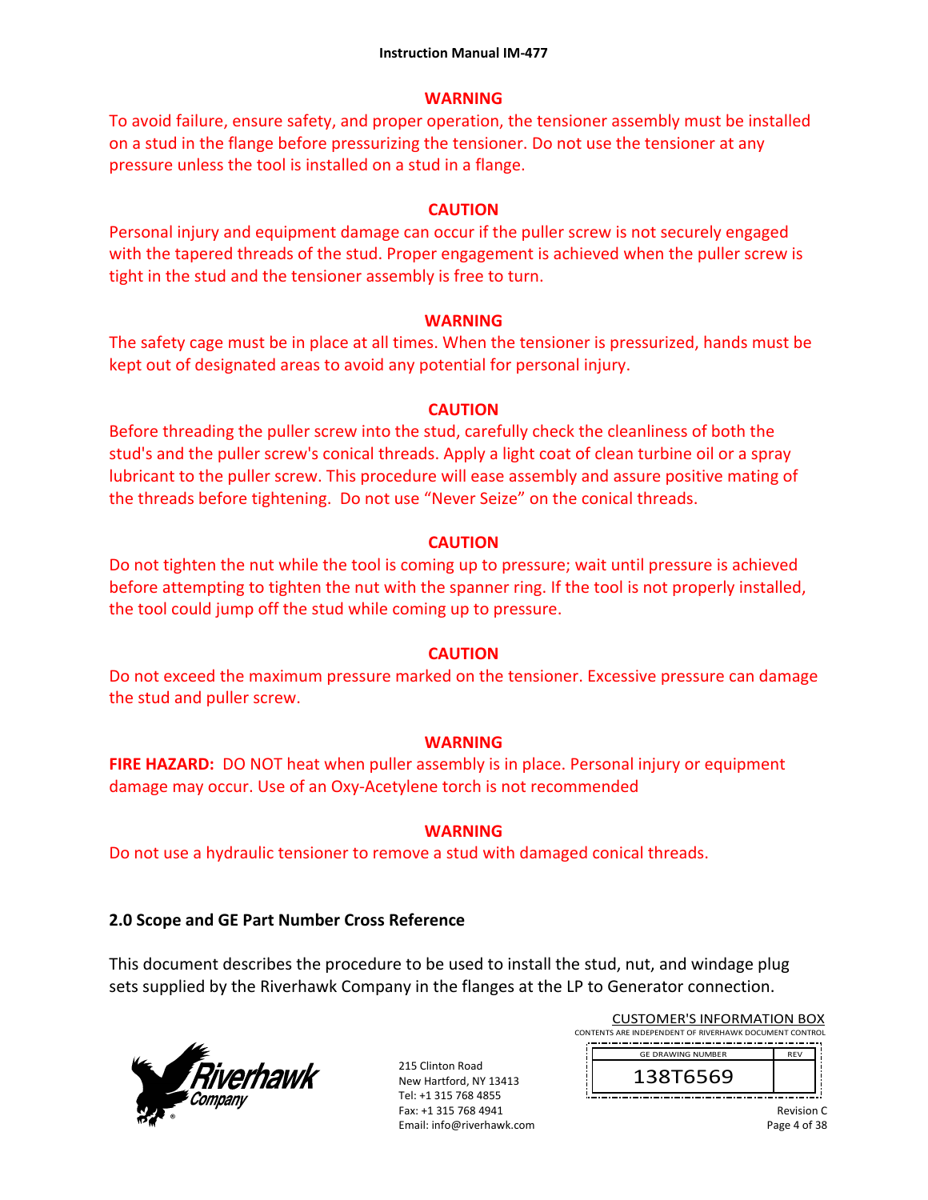### **WARNING**

To avoid failure, ensure safety, and proper operation, the tensioner assembly must be installed on a stud in the flange before pressurizing the tensioner. Do not use the tensioner at any pressure unless the tool is installed on a stud in a flange.

## **CAUTION**

Personal injury and equipment damage can occur if the puller screw is not securely engaged with the tapered threads of the stud. Proper engagement is achieved when the puller screw is tight in the stud and the tensioner assembly is free to turn.

## **WARNING**

The safety cage must be in place at all times. When the tensioner is pressurized, hands must be kept out of designated areas to avoid any potential for personal injury.

## **CAUTION**

Before threading the puller screw into the stud, carefully check the cleanliness of both the stud's and the puller screw's conical threads. Apply a light coat of clean turbine oil or a spray lubricant to the puller screw. This procedure will ease assembly and assure positive mating of the threads before tightening. Do not use "Never Seize" on the conical threads.

## **CAUTION**

Do not tighten the nut while the tool is coming up to pressure; wait until pressure is achieved before attempting to tighten the nut with the spanner ring. If the tool is not properly installed, the tool could jump off the stud while coming up to pressure.

## **CAUTION**

Do not exceed the maximum pressure marked on the tensioner. Excessive pressure can damage the stud and puller screw.

## **WARNING**

**FIRE HAZARD:** DO NOT heat when puller assembly is in place. Personal injury or equipment damage may occur. Use of an Oxy‐Acetylene torch is not recommended

## **WARNING**

Do not use a hydraulic tensioner to remove a stud with damaged conical threads.

## **2.0 Scope and GE Part Number Cross Reference**

This document describes the procedure to be used to install the stud, nut, and windage plug sets supplied by the Riverhawk Company in the flanges at the LP to Generator connection.



215 Clinton Road New Hartford, NY 13413 Tel: +1 315 768 4855 Fax: +1 315 768 4941 Email: info@riverhawk.com

CUSTOMER'S INFORMATION BOX CONTENTS ARE INDEPENDENT OF RIVERHAWK DOCUMENT CONTROL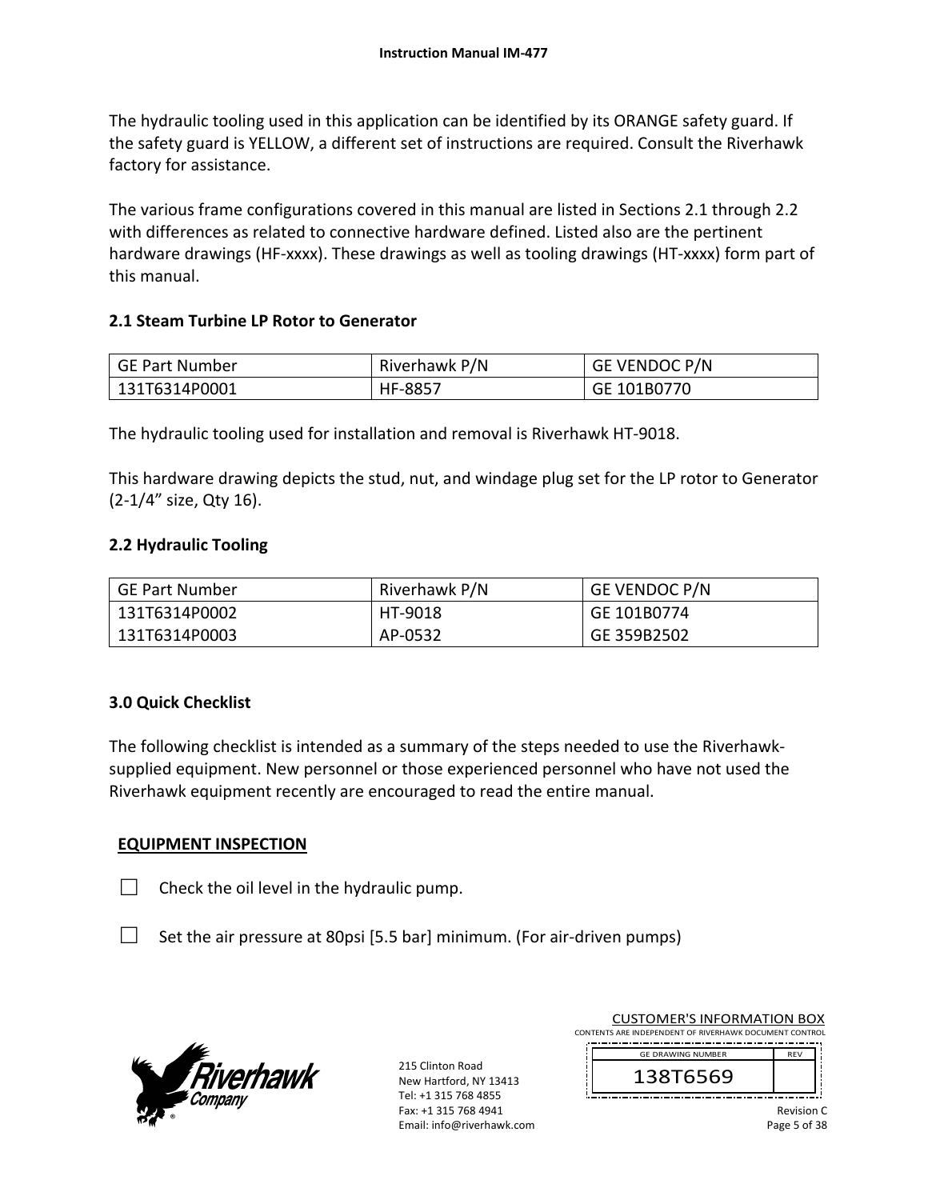The hydraulic tooling used in this application can be identified by its ORANGE safety guard. If the safety guard is YELLOW, a different set of instructions are required. Consult the Riverhawk factory for assistance.

The various frame configurations covered in this manual are listed in Sections 2.1 through 2.2 with differences as related to connective hardware defined. Listed also are the pertinent hardware drawings (HF‐xxxx). These drawings as well as tooling drawings (HT‐xxxx) form part of this manual.

## **2.1 Steam Turbine LP Rotor to Generator**

| GE Part Number | Riverhawk P/N | GE VENDOC P/N |
|----------------|---------------|---------------|
| 131T6314P0001  | HF-8857       | GE 101B0770   |

The hydraulic tooling used for installation and removal is Riverhawk HT‐9018.

This hardware drawing depicts the stud, nut, and windage plug set for the LP rotor to Generator (2‐1/4" size, Qty 16).

## **2.2 Hydraulic Tooling**

| GE Part Number | Riverhawk P/N | <b>GE VENDOC P/N</b> |
|----------------|---------------|----------------------|
| 131T6314P0002  | HT-9018       | GE 101B0774          |
| 131T6314P0003  | AP-0532       | GE 359B2502          |

#### **3.0 Quick Checklist**

The following checklist is intended as a summary of the steps needed to use the Riverhawk‐ supplied equipment. New personnel or those experienced personnel who have not used the Riverhawk equipment recently are encouraged to read the entire manual.

## **EQUIPMENT INSPECTION**

 $\Box$  Check the oil level in the hydraulic pump.

 $\Box$  Set the air pressure at 80psi [5.5 bar] minimum. (For air-driven pumps)



215 Clinton Road New Hartford, NY 13413 Tel: +1 315 768 4855 Fax: +1 315 768 4941 Email: info@riverhawk.com CUSTOMER'S INFORMATION BOX

CONTENTS ARE INDEPENDENT OF RIVERHAWK DOCUMENT CONTROL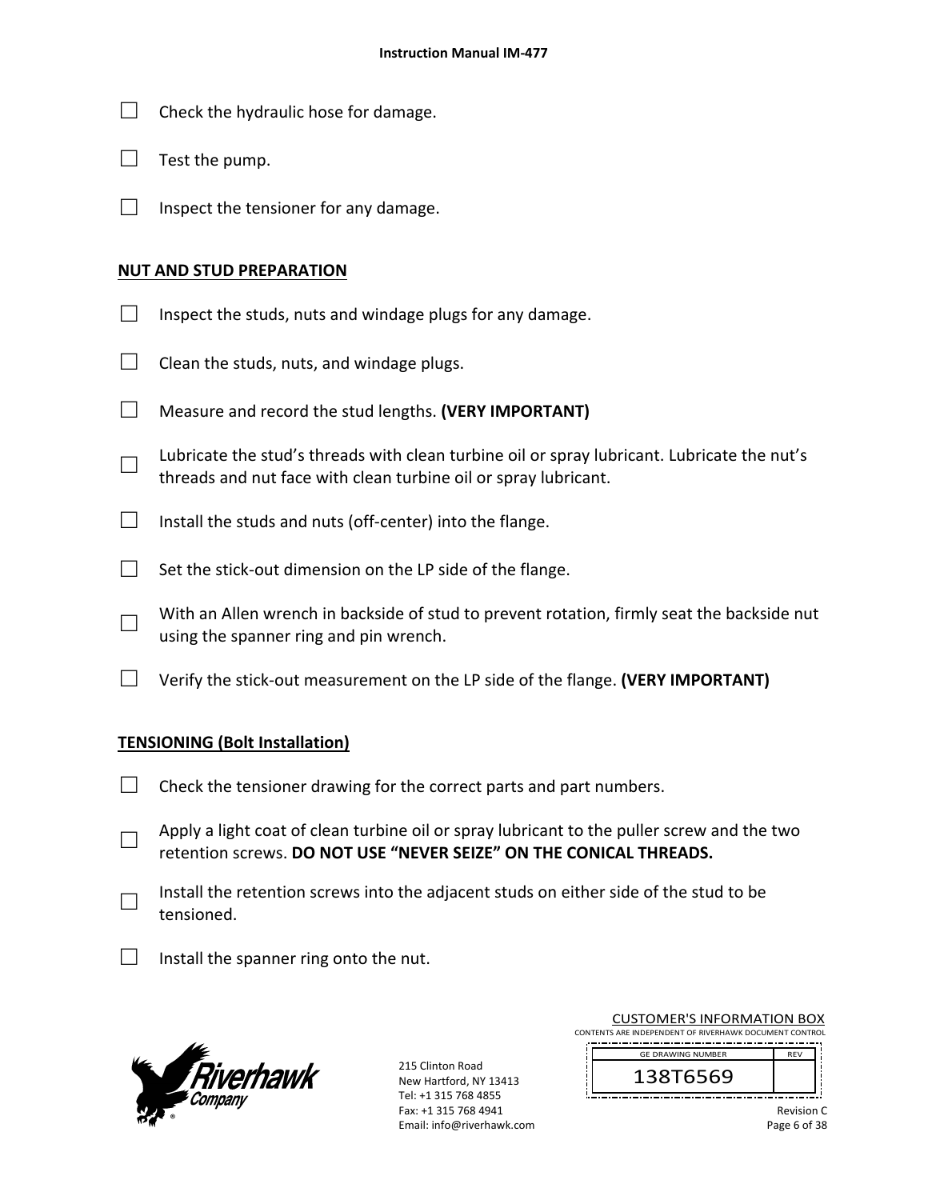- $\Box$  Check the hydraulic hose for damage.
- $\Box$  Test the pump.
- $\Box$  Inspect the tensioner for any damage.

#### **NUT AND STUD PREPARATION**

- $\Box$  Inspect the studs, nuts and windage plugs for any damage.
- $\Box$  Clean the studs, nuts, and windage plugs.
- □ Measure and record the stud lengths. **(VERY IMPORTANT)**
- □ Lubricate the stud's threads with clean turbine oil or spray lubricant. Lubricate the nut's threads and nut face with clean turbine oil or spray lubricant.
- $\Box$  Install the studs and nuts (off-center) into the flange.
- $\Box$  Set the stick-out dimension on the LP side of the flange.
- □ With an Allen wrench in backside of stud to prevent rotation, firmly seat the backside nut using the spanner ring and pin wrench.
- □ Verify the stick‐out measurement on the LP side of the flange. **(VERY IMPORTANT)**

#### **TENSIONING (Bolt Installation)**

- $\Box$  Check the tensioner drawing for the correct parts and part numbers.
- □ Apply a light coat of clean turbine oil or spray lubricant to the puller screw and the two retention screws. **DO NOT USE "NEVER SEIZE" ON THE CONICAL THREADS.**
- □ Install the retention screws into the adjacent studs on either side of the stud to be tensioned.
- $\Box$  Install the spanner ring onto the nut.



215 Clinton Road New Hartford, NY 13413 Tel: +1 315 768 4855 Fax: +1 315 768 4941 Email: info@riverhawk.com

| <b>CUSTOMER'S INFORMATION BOX</b>                      |
|--------------------------------------------------------|
| CONTENTS ARE INDEPENDENT OF RIVERHAWK DOCUMENT CONTROL |
|                                                        |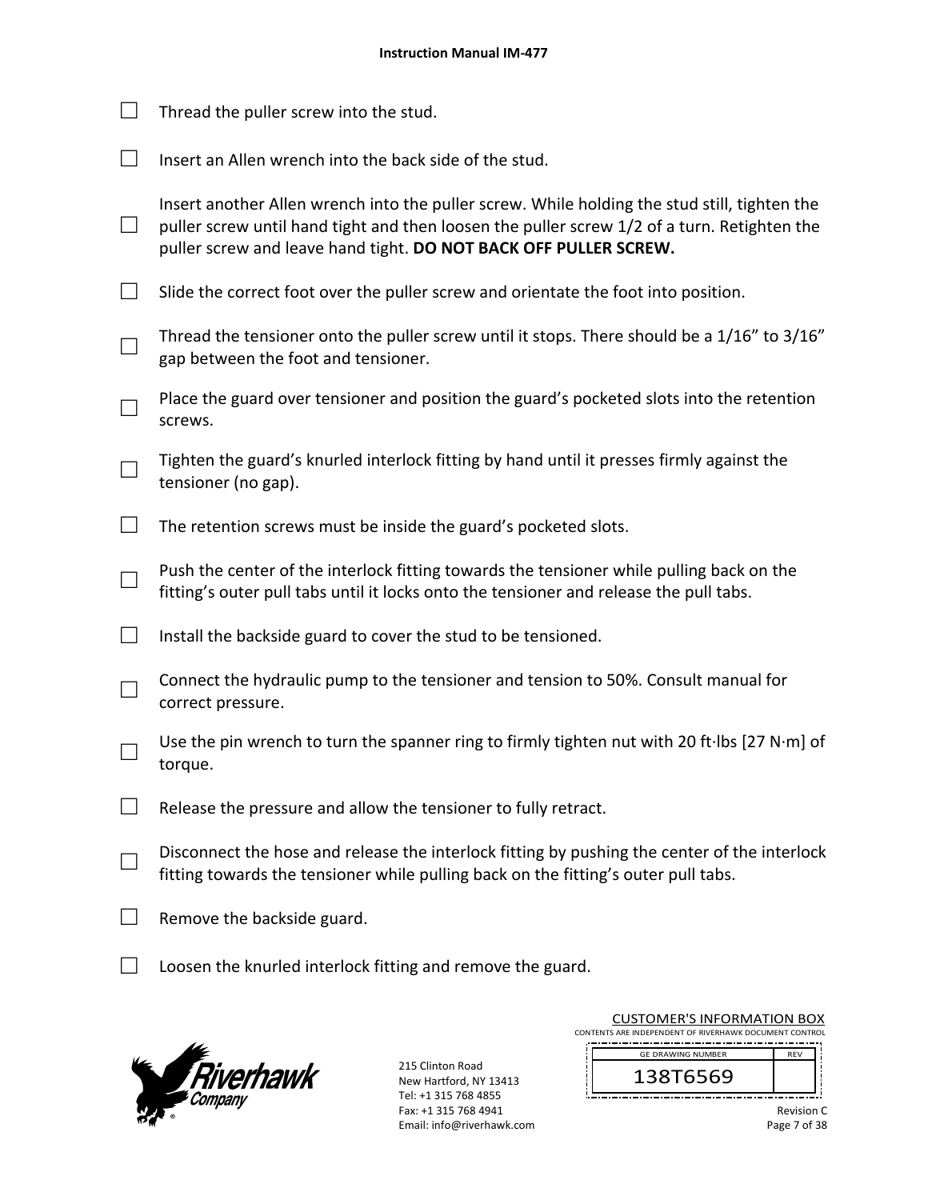|        | Thread the puller screw into the stud.                                                                                                                                                                                                                          |
|--------|-----------------------------------------------------------------------------------------------------------------------------------------------------------------------------------------------------------------------------------------------------------------|
|        | Insert an Allen wrench into the back side of the stud.                                                                                                                                                                                                          |
| $\Box$ | Insert another Allen wrench into the puller screw. While holding the stud still, tighten the<br>puller screw until hand tight and then loosen the puller screw 1/2 of a turn. Retighten the<br>puller screw and leave hand tight. DO NOT BACK OFF PULLER SCREW. |
| $\Box$ | Slide the correct foot over the puller screw and orientate the foot into position.                                                                                                                                                                              |
|        | Thread the tensioner onto the puller screw until it stops. There should be a 1/16" to 3/16"<br>gap between the foot and tensioner.                                                                                                                              |
|        | Place the guard over tensioner and position the guard's pocketed slots into the retention<br>screws.                                                                                                                                                            |
|        | Tighten the guard's knurled interlock fitting by hand until it presses firmly against the<br>tensioner (no gap).                                                                                                                                                |
|        | The retention screws must be inside the guard's pocketed slots.                                                                                                                                                                                                 |
|        | Push the center of the interlock fitting towards the tensioner while pulling back on the<br>fitting's outer pull tabs until it locks onto the tensioner and release the pull tabs.                                                                              |
|        | Install the backside guard to cover the stud to be tensioned.                                                                                                                                                                                                   |
|        | Connect the hydraulic pump to the tensioner and tension to 50%. Consult manual for<br>correct pressure.                                                                                                                                                         |
|        | Use the pin wrench to turn the spanner ring to firmly tighten nut with 20 ft·lbs [27 N·m] of<br>torque.                                                                                                                                                         |
|        | Release the pressure and allow the tensioner to fully retract.                                                                                                                                                                                                  |
|        | Disconnect the hose and release the interlock fitting by pushing the center of the interlock<br>fitting towards the tensioner while pulling back on the fitting's outer pull tabs.                                                                              |
|        | Remove the backside guard.                                                                                                                                                                                                                                      |
|        | Loosen the knurled interlock fitting and remove the guard.                                                                                                                                                                                                      |



215 Clinton Road New Hartford, NY 13413 Tel: +1 315 768 4855 Fax: +1 315 768 4941 Email: info@riverhawk.com

J.

|  |  | <b>CUSTOMER'S INFORMATION BOX</b>                      |  |
|--|--|--------------------------------------------------------|--|
|  |  | CONTENTS ARE INDEPENDENT OF RIVERHAWK DOCUMENT CONTROL |  |

 REV 138T6569 GE DRAWING NUMBER

j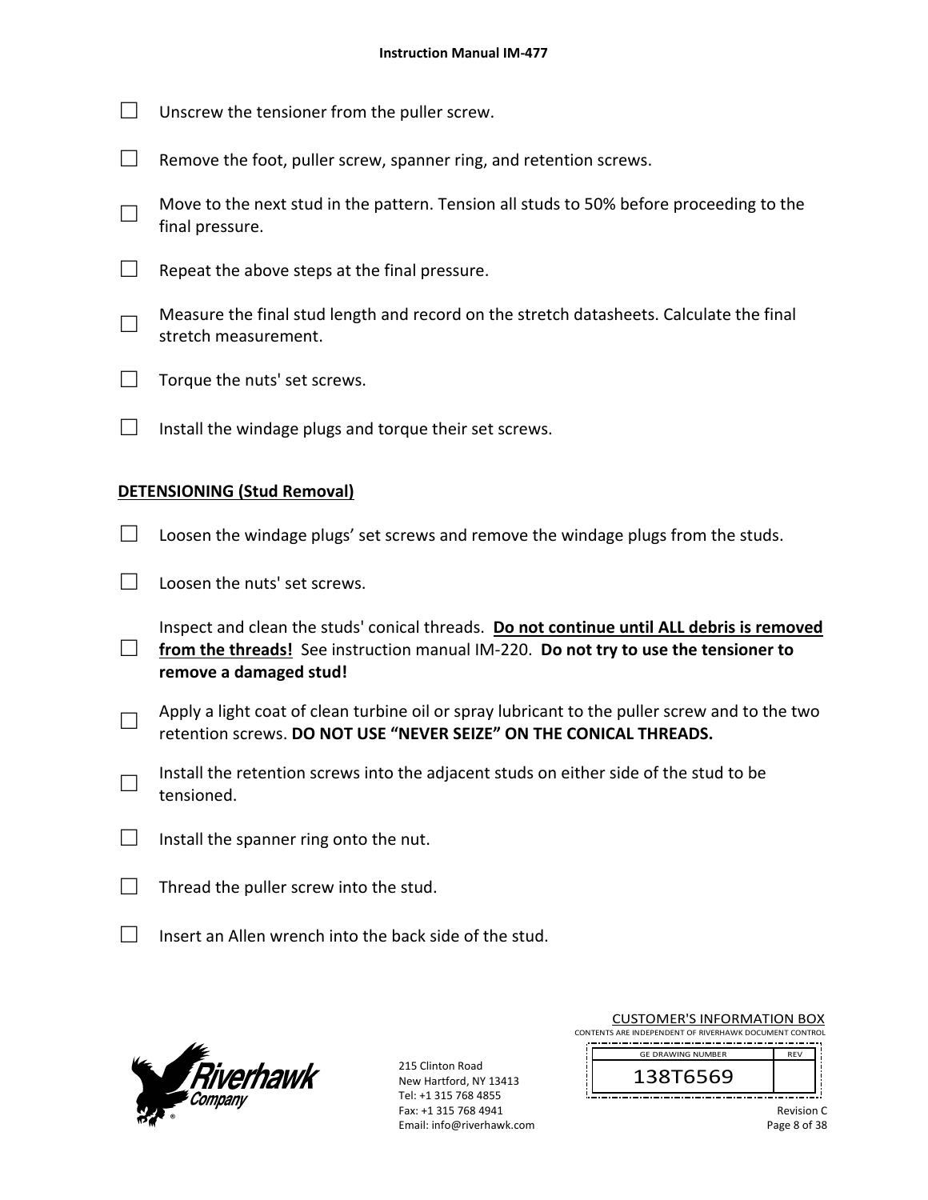- $\Box$  Unscrew the tensioner from the puller screw.
- $\Box$  Remove the foot, puller screw, spanner ring, and retention screws.
- □ Move to the next stud in the pattern. Tension all studs to 50% before proceeding to the final pressure.
- $\Box$  Repeat the above steps at the final pressure.
- □ Measure the final stud length and record on the stretch datasheets. Calculate the final stretch measurement.
- $\Box$  Torque the nuts' set screws.
- $\Box$  Install the windage plugs and torque their set screws.

#### **DETENSIONING (Stud Removal)**

- $\Box$  Loosen the windage plugs' set screws and remove the windage plugs from the studs.
- $\Box$  Loosen the nuts' set screws.
- □ Inspect and clean the studs' conical threads. **Do not continue until ALL debris is removed**  from the threads! See instruction manual IM-220. Do not try to use the tensioner to **remove a damaged stud!**
- □ Apply a light coat of clean turbine oil or spray lubricant to the puller screw and to the two retention screws. **DO NOT USE "NEVER SEIZE" ON THE CONICAL THREADS.**
- □ Install the retention screws into the adjacent studs on either side of the stud to be tensioned.
- $\Box$  Install the spanner ring onto the nut.
- $\Box$  Thread the puller screw into the stud.
- $\Box$  Insert an Allen wrench into the back side of the stud.



215 Clinton Road New Hartford, NY 13413 Tel: +1 315 768 4855 Fax: +1 315 768 4941 Email: info@riverhawk.com

CUSTOMER'S INFORMATION BOX CONTENTS ARE INDEPENDENT OF RIVERHAWK DOCUMENT CONTROL

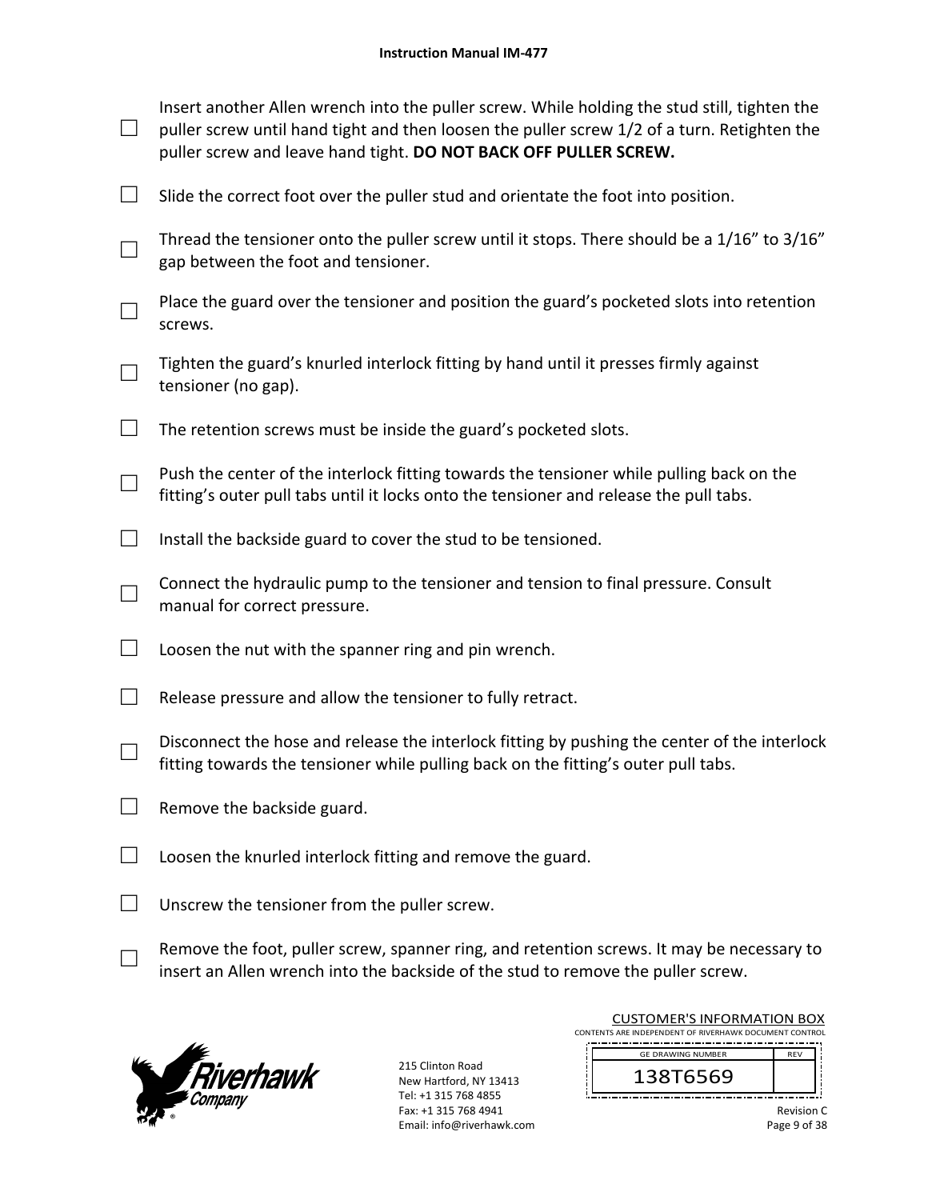|   | Insert another Allen wrench into the puller screw. While holding the stud still, tighten the<br>puller screw until hand tight and then loosen the puller screw 1/2 of a turn. Retighten the<br>puller screw and leave hand tight. DO NOT BACK OFF PULLER SCREW. |
|---|-----------------------------------------------------------------------------------------------------------------------------------------------------------------------------------------------------------------------------------------------------------------|
| ⊔ | Slide the correct foot over the puller stud and orientate the foot into position.                                                                                                                                                                               |
|   | Thread the tensioner onto the puller screw until it stops. There should be a 1/16" to 3/16"<br>gap between the foot and tensioner.                                                                                                                              |
|   | Place the guard over the tensioner and position the guard's pocketed slots into retention<br>screws.                                                                                                                                                            |
|   | Tighten the guard's knurled interlock fitting by hand until it presses firmly against<br>tensioner (no gap).                                                                                                                                                    |
|   | The retention screws must be inside the guard's pocketed slots.                                                                                                                                                                                                 |
|   | Push the center of the interlock fitting towards the tensioner while pulling back on the<br>fitting's outer pull tabs until it locks onto the tensioner and release the pull tabs.                                                                              |
|   | Install the backside guard to cover the stud to be tensioned.                                                                                                                                                                                                   |
|   | Connect the hydraulic pump to the tensioner and tension to final pressure. Consult<br>manual for correct pressure.                                                                                                                                              |
|   | Loosen the nut with the spanner ring and pin wrench.                                                                                                                                                                                                            |
|   | Release pressure and allow the tensioner to fully retract.                                                                                                                                                                                                      |
|   | Disconnect the hose and release the interlock fitting by pushing the center of the interlock<br>fitting towards the tensioner while pulling back on the fitting's outer pull tabs.                                                                              |
|   | Remove the backside guard.                                                                                                                                                                                                                                      |
|   | Loosen the knurled interlock fitting and remove the guard.                                                                                                                                                                                                      |
|   | Unscrew the tensioner from the puller screw.                                                                                                                                                                                                                    |
|   | Remove the foot, puller screw, spanner ring, and retention screws. It may be necessary to<br>insert an Allen wrench into the backside of the stud to remove the puller screw.                                                                                   |



215 Clinton Road New Hartford, NY 13413 Tel: +1 315 768 4855 Fax: +1 315 768 4941 Email: info@riverhawk.com

| <b>CUSTOMER'S INFORMATION BOX</b>                      |            |  |
|--------------------------------------------------------|------------|--|
| CONTENTS ARE INDEPENDENT OF RIVERHAWK DOCUMENT CONTROL |            |  |
| <b>GE DRAWING NUMBER</b>                               | <b>RFV</b> |  |
|                                                        |            |  |

j

138T6569 j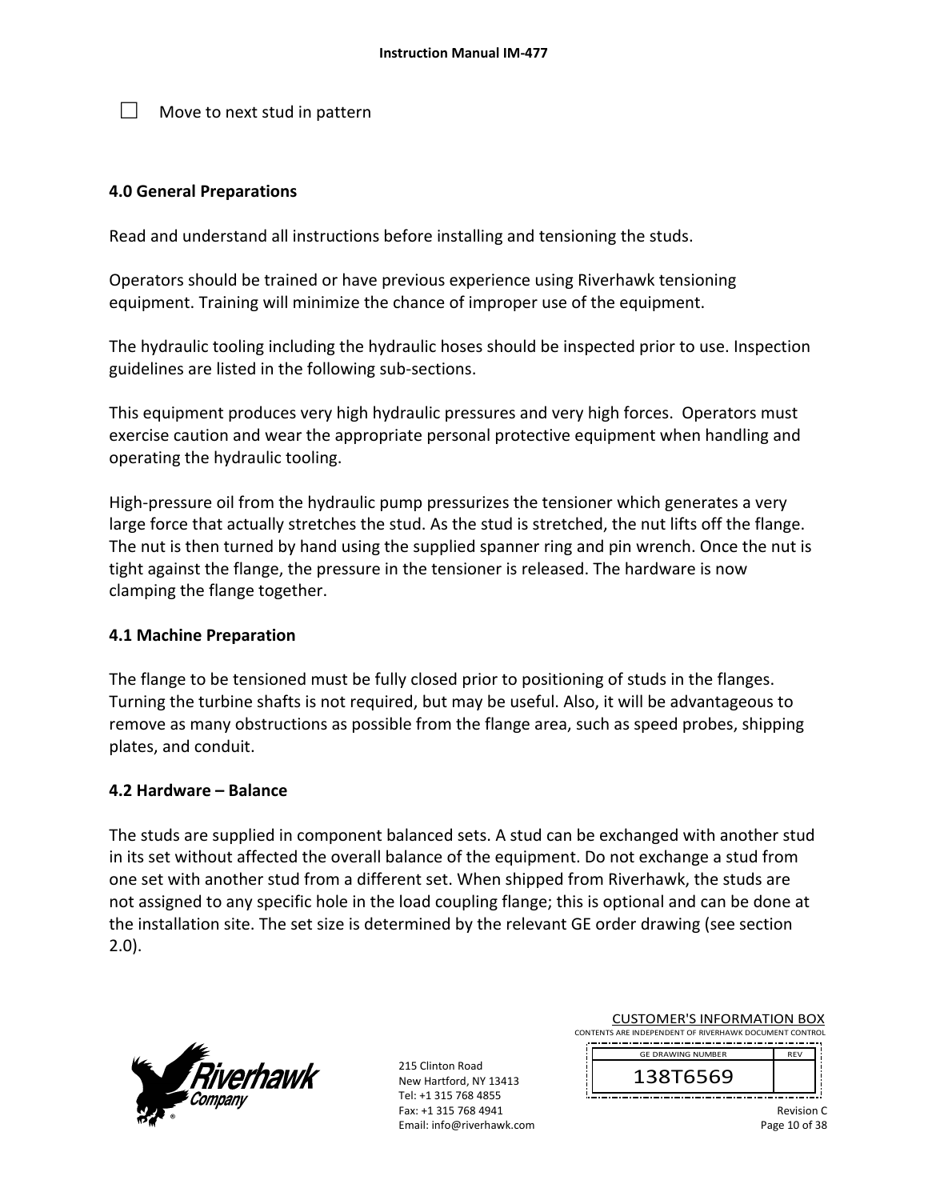$\Box$  Move to next stud in pattern

### **4.0 General Preparations**

Read and understand all instructions before installing and tensioning the studs.

Operators should be trained or have previous experience using Riverhawk tensioning equipment. Training will minimize the chance of improper use of the equipment.

The hydraulic tooling including the hydraulic hoses should be inspected prior to use. Inspection guidelines are listed in the following sub‐sections.

This equipment produces very high hydraulic pressures and very high forces. Operators must exercise caution and wear the appropriate personal protective equipment when handling and operating the hydraulic tooling.

High-pressure oil from the hydraulic pump pressurizes the tensioner which generates a very large force that actually stretches the stud. As the stud is stretched, the nut lifts off the flange. The nut is then turned by hand using the supplied spanner ring and pin wrench. Once the nut is tight against the flange, the pressure in the tensioner is released. The hardware is now clamping the flange together.

#### **4.1 Machine Preparation**

The flange to be tensioned must be fully closed prior to positioning of studs in the flanges. Turning the turbine shafts is not required, but may be useful. Also, it will be advantageous to remove as many obstructions as possible from the flange area, such as speed probes, shipping plates, and conduit.

#### **4.2 Hardware – Balance**

The studs are supplied in component balanced sets. A stud can be exchanged with another stud in its set without affected the overall balance of the equipment. Do not exchange a stud from one set with another stud from a different set. When shipped from Riverhawk, the studs are not assigned to any specific hole in the load coupling flange; this is optional and can be done at the installation site. The set size is determined by the relevant GE order drawing (see section 2.0).



215 Clinton Road New Hartford, NY 13413 Tel: +1 315 768 4855 Fax: +1 315 768 4941 Email: info@riverhawk.com CUSTOMER'S INFORMATION BOX

CONTENTS ARE INDEPENDENT OF RIVERHAWK DOCUMENT CONTROL 

> 138T6569 GE DRAWING NUMBER

> > Revision C Page 10 of 38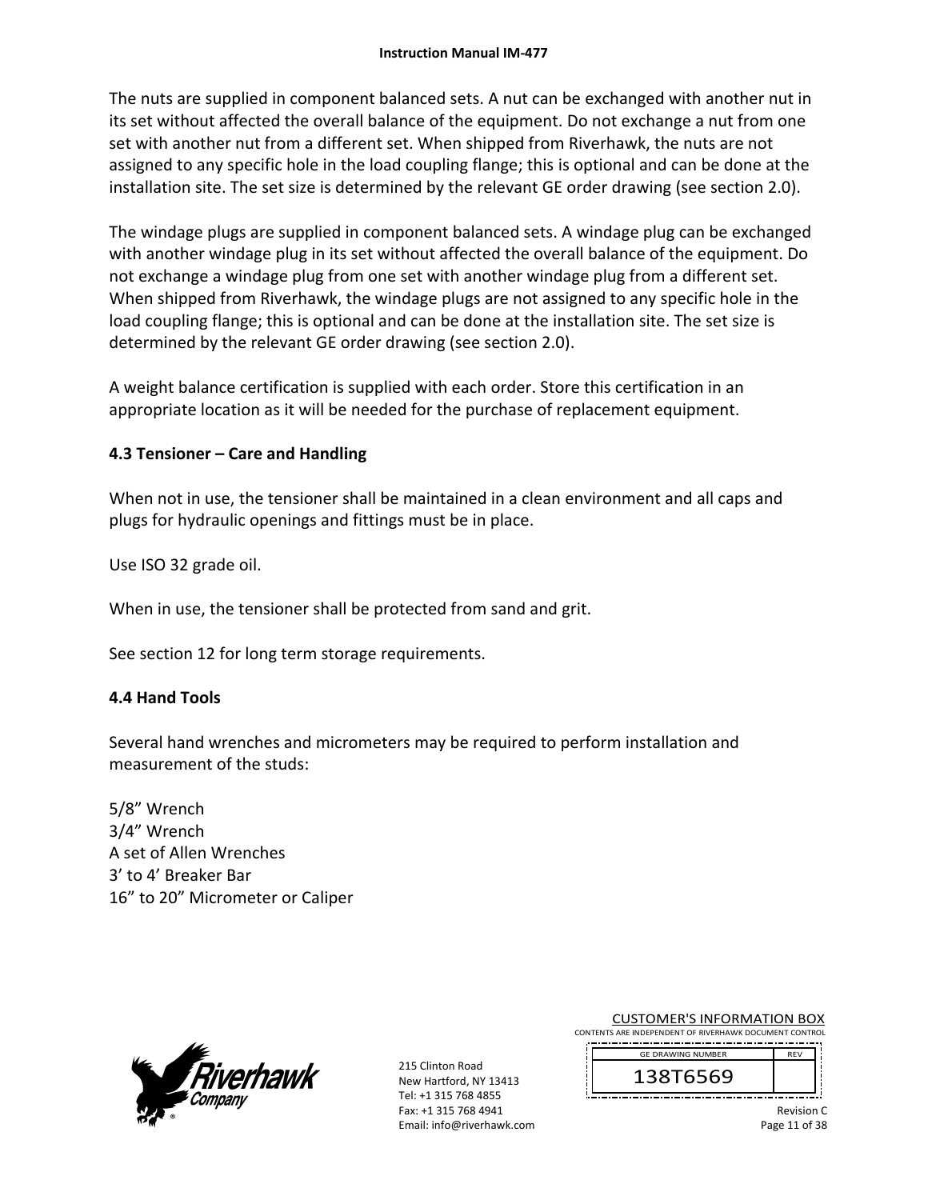The nuts are supplied in component balanced sets. A nut can be exchanged with another nut in its set without affected the overall balance of the equipment. Do not exchange a nut from one set with another nut from a different set. When shipped from Riverhawk, the nuts are not assigned to any specific hole in the load coupling flange; this is optional and can be done at the installation site. The set size is determined by the relevant GE order drawing (see section 2.0).

The windage plugs are supplied in component balanced sets. A windage plug can be exchanged with another windage plug in its set without affected the overall balance of the equipment. Do not exchange a windage plug from one set with another windage plug from a different set. When shipped from Riverhawk, the windage plugs are not assigned to any specific hole in the load coupling flange; this is optional and can be done at the installation site. The set size is determined by the relevant GE order drawing (see section 2.0).

A weight balance certification is supplied with each order. Store this certification in an appropriate location as it will be needed for the purchase of replacement equipment.

## **4.3 Tensioner – Care and Handling**

When not in use, the tensioner shall be maintained in a clean environment and all caps and plugs for hydraulic openings and fittings must be in place.

Use ISO 32 grade oil.

When in use, the tensioner shall be protected from sand and grit.

See section 12 for long term storage requirements.

## **4.4 Hand Tools**

Several hand wrenches and micrometers may be required to perform installation and measurement of the studs:

5/8" Wrench 3/4" Wrench A set of Allen Wrenches 3' to 4' Breaker Bar 16" to 20" Micrometer or Caliper



215 Clinton Road New Hartford, NY 13413 Tel: +1 315 768 4855 Fax: +1 315 768 4941 Email: info@riverhawk.com CUSTOMER'S INFORMATION BOX

CONTENTS ARE INDEPENDENT OF RIVERHAWK DOCUMENT CONTROL 

> 138T6569 GE DRAWING NUMBER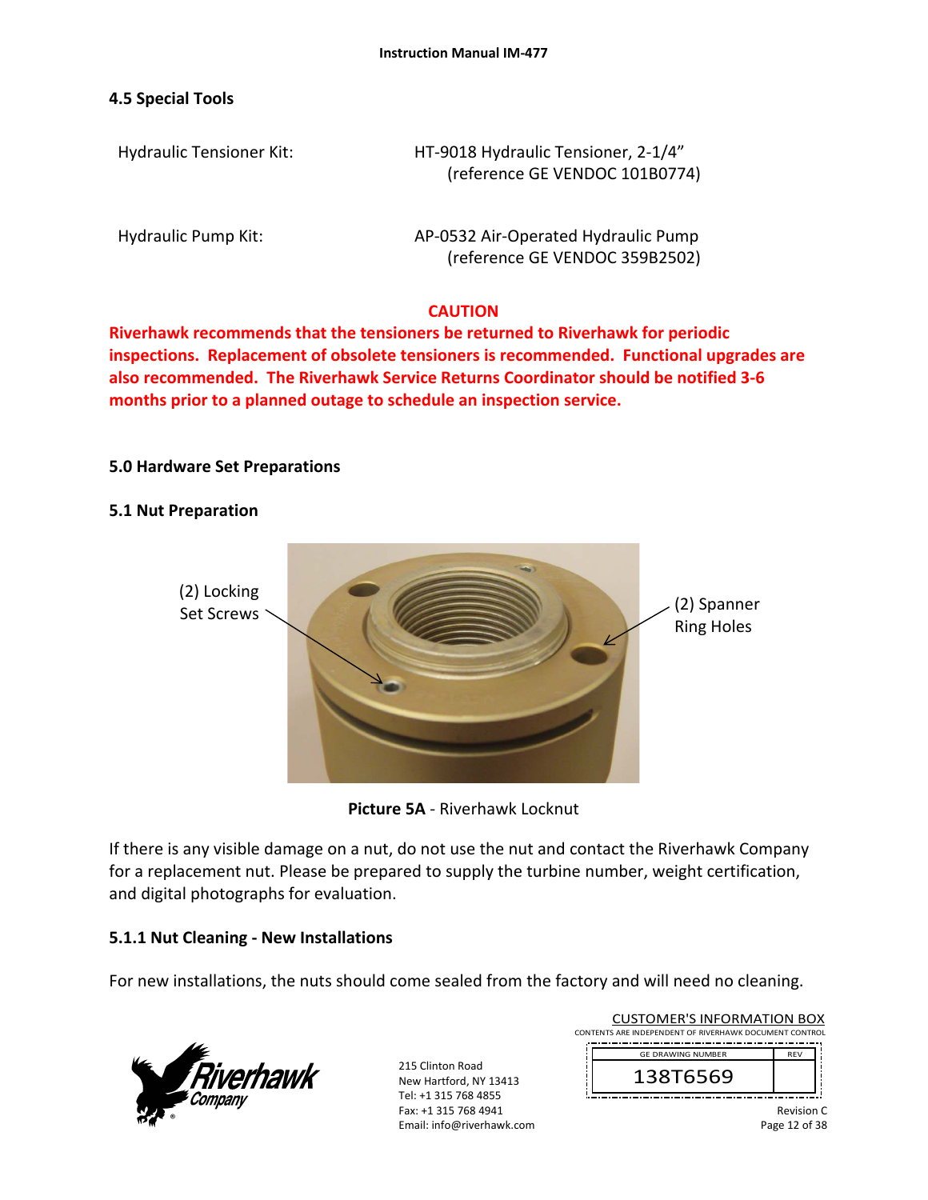### **4.5 Special Tools**

Hydraulic Tensioner Kit: HT‐9018 Hydraulic Tensioner, 2‐1/4" (reference GE VENDOC 101B0774)

Hydraulic Pump Kit: AP-0532 Air-Operated Hydraulic Pump (reference GE VENDOC 359B2502)

## **CAUTION**

**Riverhawk recommends that the tensioners be returned to Riverhawk for periodic inspections. Replacement of obsolete tensioners is recommended. Functional upgrades are also recommended. The Riverhawk Service Returns Coordinator should be notified 3‐6 months prior to a planned outage to schedule an inspection service.** 

## **5.0 Hardware Set Preparations**

#### **5.1 Nut Preparation**



**Picture 5A** ‐ Riverhawk Locknut

If there is any visible damage on a nut, do not use the nut and contact the Riverhawk Company for a replacement nut. Please be prepared to supply the turbine number, weight certification, and digital photographs for evaluation.

## **5.1.1 Nut Cleaning ‐ New Installations**

For new installations, the nuts should come sealed from the factory and will need no cleaning.



215 Clinton Road New Hartford, NY 13413 Tel: +1 315 768 4855 Fax: +1 315 768 4941 Email: info@riverhawk.com

| CONTENTS ARE INDEPENDENT OF RIVERHAWK DOCUMENT CONTROL |            |  |
|--------------------------------------------------------|------------|--|
| <b>GE DRAWING NUMBER</b>                               | <b>RFV</b> |  |
| 138T6569                                               |            |  |
|                                                        |            |  |

CUSTOMER'S INFORMATION BOX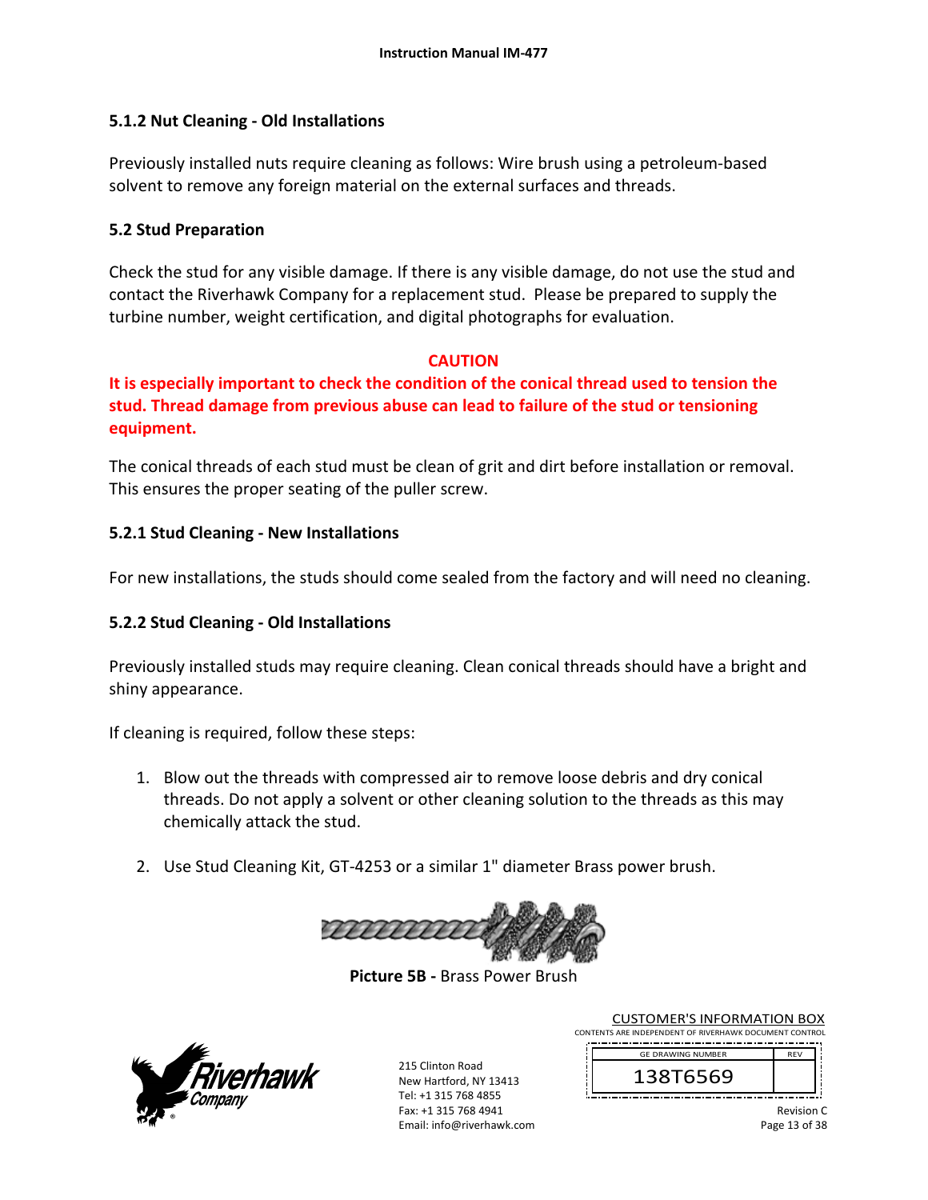## **5.1.2 Nut Cleaning ‐ Old Installations**

Previously installed nuts require cleaning as follows: Wire brush using a petroleum‐based solvent to remove any foreign material on the external surfaces and threads.

#### **5.2 Stud Preparation**

Check the stud for any visible damage. If there is any visible damage, do not use the stud and contact the Riverhawk Company for a replacement stud. Please be prepared to supply the turbine number, weight certification, and digital photographs for evaluation.

## **CAUTION**

**It is especially important to check the condition of the conical thread used to tension the stud. Thread damage from previous abuse can lead to failure of the stud or tensioning equipment.** 

The conical threads of each stud must be clean of grit and dirt before installation or removal. This ensures the proper seating of the puller screw.

## **5.2.1 Stud Cleaning ‐ New Installations**

For new installations, the studs should come sealed from the factory and will need no cleaning.

## **5.2.2 Stud Cleaning ‐ Old Installations**

Previously installed studs may require cleaning. Clean conical threads should have a bright and shiny appearance.

If cleaning is required, follow these steps:

- 1. Blow out the threads with compressed air to remove loose debris and dry conical threads. Do not apply a solvent or other cleaning solution to the threads as this may chemically attack the stud.
- 2. Use Stud Cleaning Kit, GT‐4253 or a similar 1" diameter Brass power brush.



**Picture 5B ‐** Brass Power Brush



215 Clinton Road New Hartford, NY 13413 Tel: +1 315 768 4855 Fax: +1 315 768 4941 Email: info@riverhawk.com

CUSTOMER'S INFORMATION BOX CONTENTS ARE INDEPENDENT OF RIVERHAWK DOCUMENT CONTROL

 REV 138T6569 GE DRAWING NUMBER

> Revision C Page 13 of 38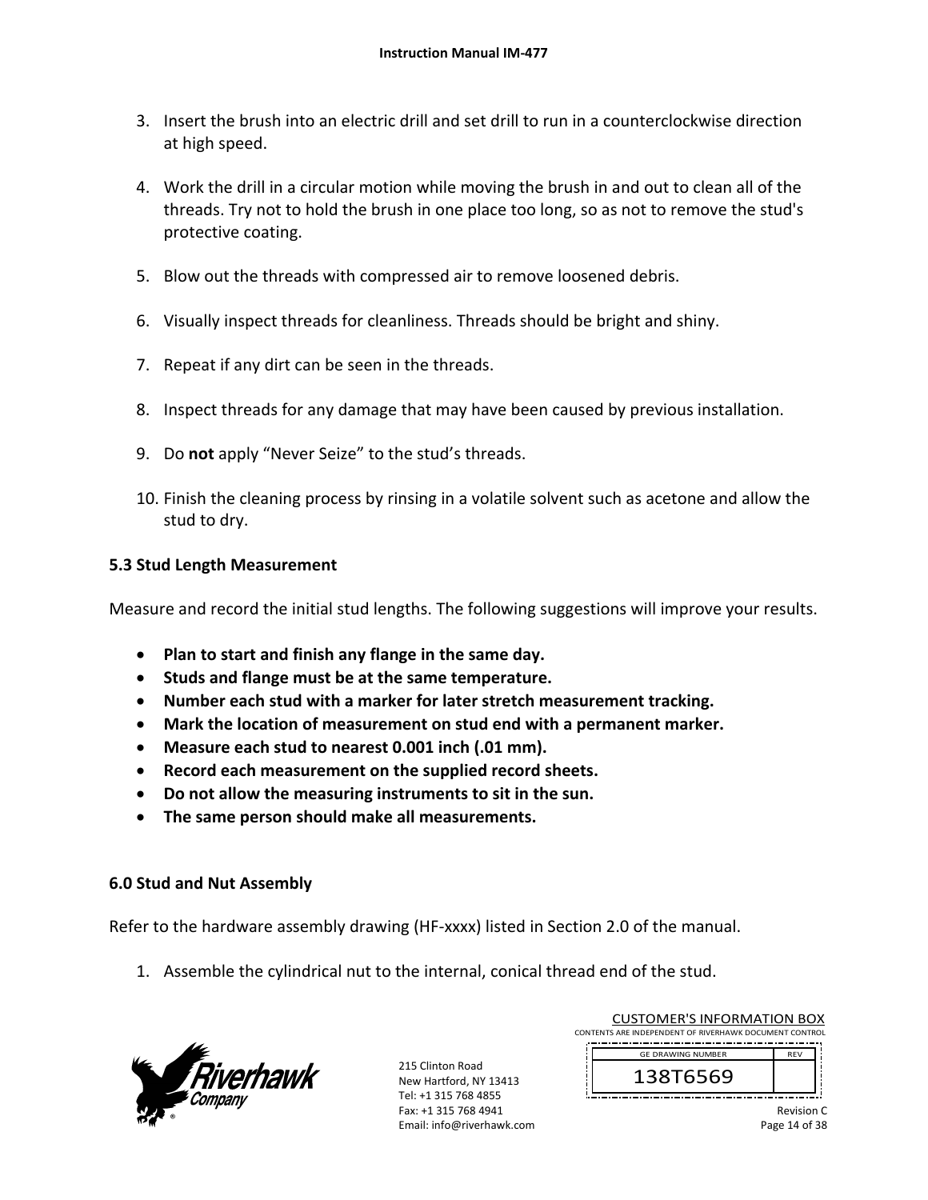- 3. Insert the brush into an electric drill and set drill to run in a counterclockwise direction at high speed.
- 4. Work the drill in a circular motion while moving the brush in and out to clean all of the threads. Try not to hold the brush in one place too long, so as not to remove the stud's protective coating.
- 5. Blow out the threads with compressed air to remove loosened debris.
- 6. Visually inspect threads for cleanliness. Threads should be bright and shiny.
- 7. Repeat if any dirt can be seen in the threads.
- 8. Inspect threads for any damage that may have been caused by previous installation.
- 9. Do **not** apply "Never Seize" to the stud's threads.
- 10. Finish the cleaning process by rinsing in a volatile solvent such as acetone and allow the stud to dry.

#### **5.3 Stud Length Measurement**

Measure and record the initial stud lengths. The following suggestions will improve your results.

- **Plan to start and finish any flange in the same day.**
- **Studs and flange must be at the same temperature.**
- **Number each stud with a marker for later stretch measurement tracking.**
- **Mark the location of measurement on stud end with a permanent marker.**
- **Measure each stud to nearest 0.001 inch (.01 mm).**
- **Record each measurement on the supplied record sheets.**
- **Do not allow the measuring instruments to sit in the sun.**
- **The same person should make all measurements.**

#### **6.0 Stud and Nut Assembly**

Refer to the hardware assembly drawing (HF‐xxxx) listed in Section 2.0 of the manual.

1. Assemble the cylindrical nut to the internal, conical thread end of the stud.



215 Clinton Road New Hartford, NY 13413 Tel: +1 315 768 4855 Fax: +1 315 768 4941 Email: info@riverhawk.com

|                                                        | <b>CUSTOMER'S INFORMATION BOX</b> |            |  |
|--------------------------------------------------------|-----------------------------------|------------|--|
| CONTENTS ARE INDEPENDENT OF RIVERHAWK DOCUMENT CONTROL |                                   |            |  |
|                                                        |                                   |            |  |
|                                                        | <b>GE DRAWING NUMBER</b>          | <b>RFV</b> |  |
|                                                        | 138T6569                          |            |  |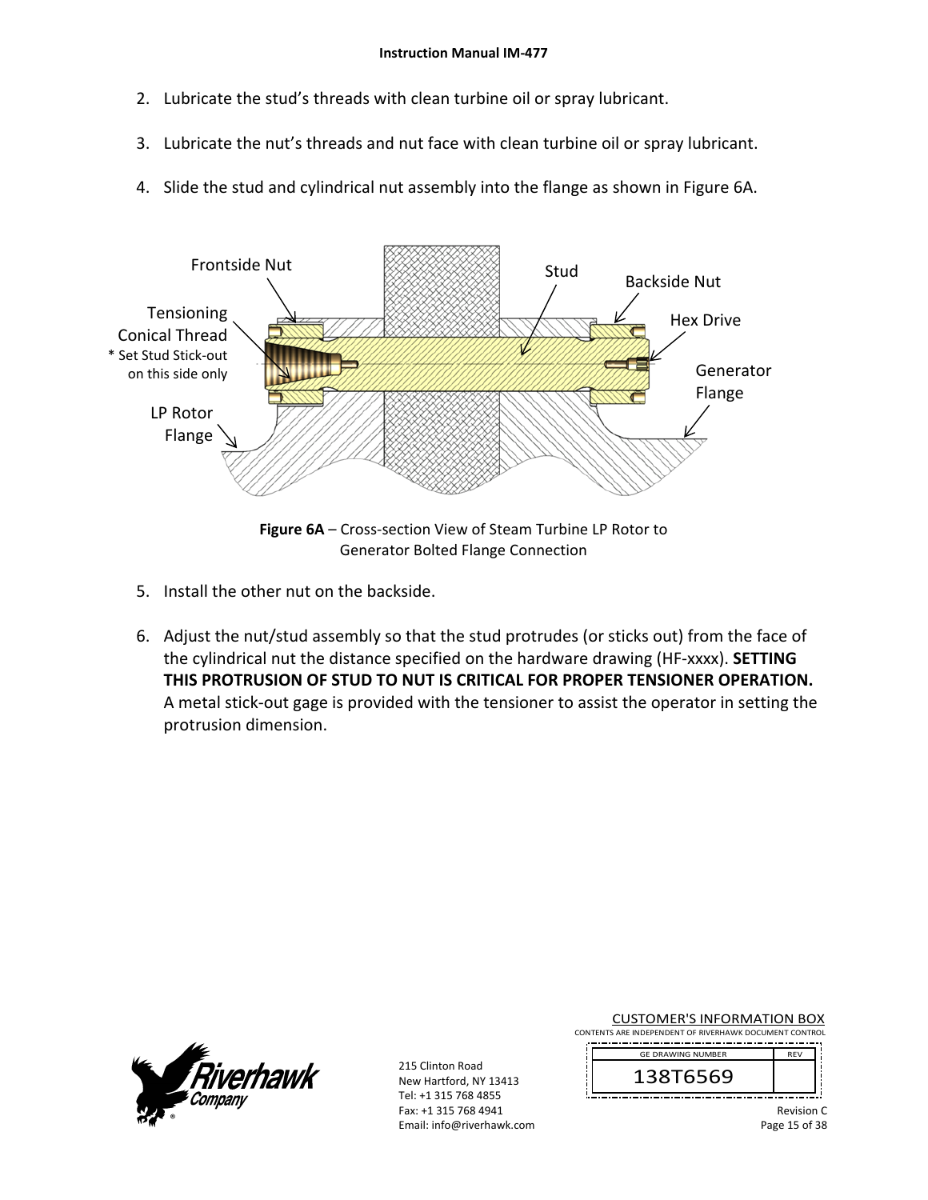- 2. Lubricate the stud's threads with clean turbine oil or spray lubricant.
- 3. Lubricate the nut's threads and nut face with clean turbine oil or spray lubricant.
- 4. Slide the stud and cylindrical nut assembly into the flange as shown in Figure 6A.



Generator Bolted Flange Connection

- 5. Install the other nut on the backside.
- 6. Adjust the nut/stud assembly so that the stud protrudes (or sticks out) from the face of the cylindrical nut the distance specified on the hardware drawing (HF‐xxxx). **SETTING THIS PROTRUSION OF STUD TO NUT IS CRITICAL FOR PROPER TENSIONER OPERATION.** A metal stick‐out gage is provided with the tensioner to assist the operator in setting the protrusion dimension.



215 Clinton Road New Hartford, NY 13413 Tel: +1 315 768 4855 Fax: +1 315 768 4941 Email: info@riverhawk.com CUSTOMER'S INFORMATION BOX

CONTENTS ARE INDEPENDENT OF RIVERHAWK DOCUMENT CONTROL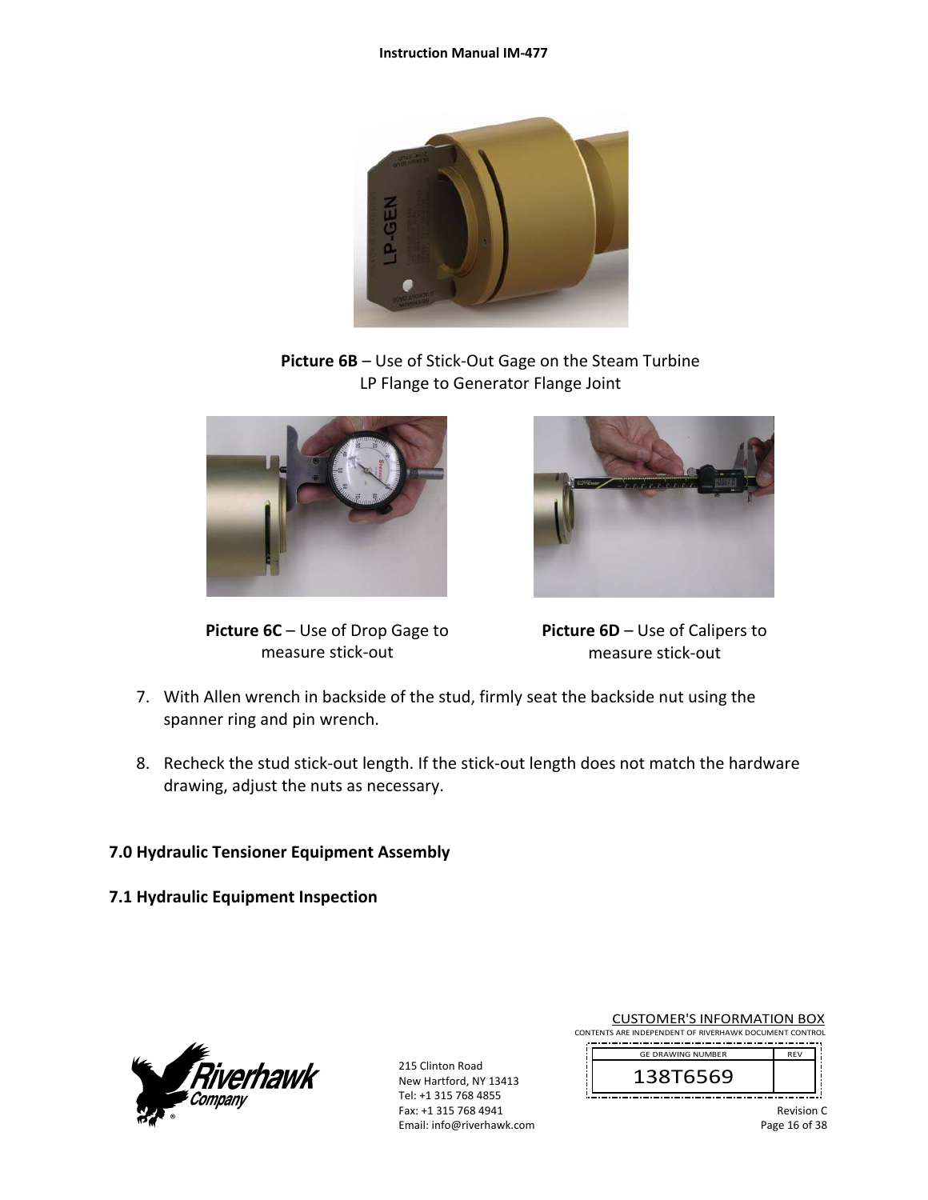#### **Instruction Manual IM‐477**



**Picture 6B** – Use of Stick‐Out Gage on the Steam Turbine LP Flange to Generator Flange Joint



**Picture 6C** – Use of Drop Gage to measure stick‐out



**Picture 6D** – Use of Calipers to measure stick‐out

- 7. With Allen wrench in backside of the stud, firmly seat the backside nut using the spanner ring and pin wrench.
- 8. Recheck the stud stick-out length. If the stick-out length does not match the hardware drawing, adjust the nuts as necessary.

## **7.0 Hydraulic Tensioner Equipment Assembly**

**7.1 Hydraulic Equipment Inspection** 



215 Clinton Road New Hartford, NY 13413 Tel: +1 315 768 4855 Fax: +1 315 768 4941 Email: info@riverhawk.com CUSTOMER'S INFORMATION BOX

CONTENTS ARE INDEPENDENT OF RIVERHAWK DOCUMENT CONTROL 

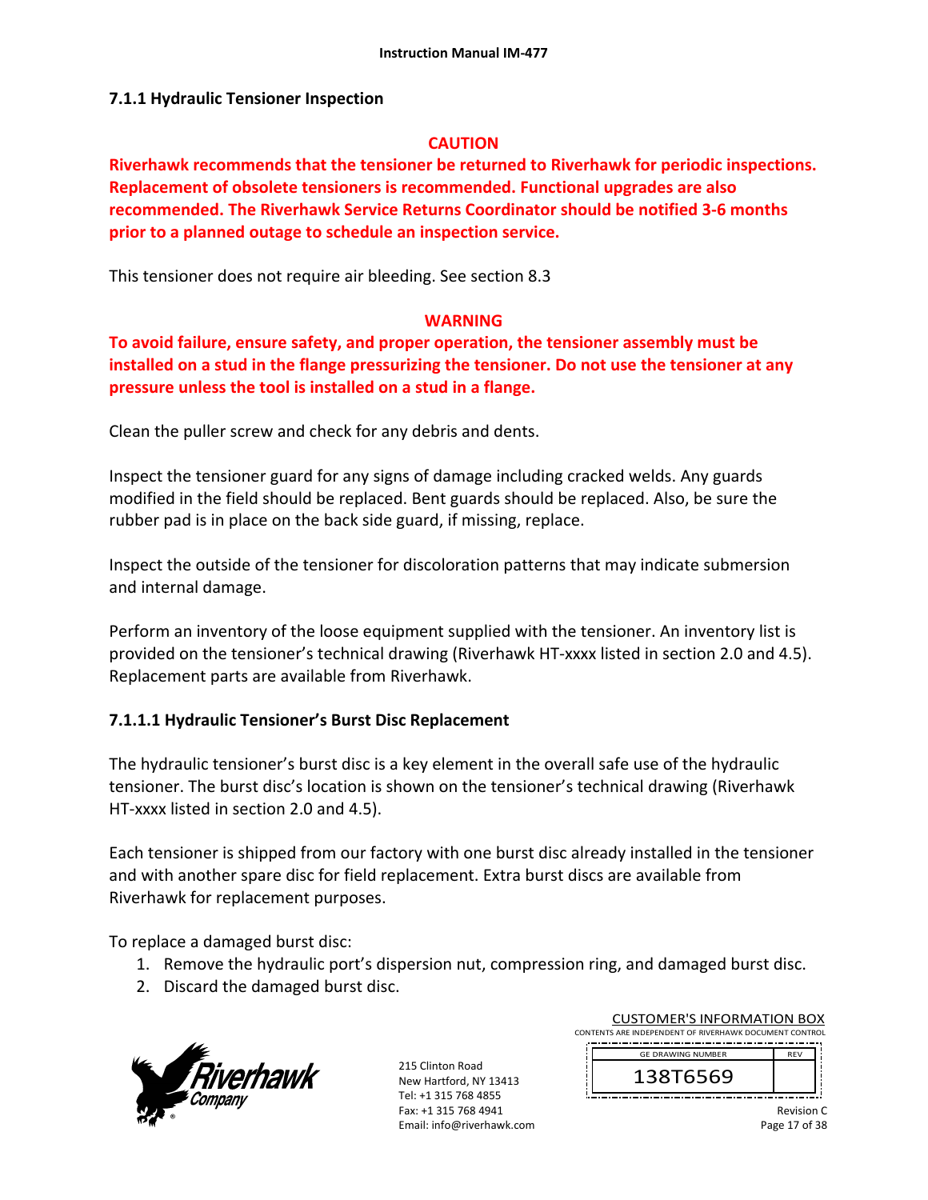## **7.1.1 Hydraulic Tensioner Inspection**

#### **CAUTION**

**Riverhawk recommends that the tensioner be returned to Riverhawk for periodic inspections. Replacement of obsolete tensioners is recommended. Functional upgrades are also recommended. The Riverhawk Service Returns Coordinator should be notified 3‐6 months prior to a planned outage to schedule an inspection service.** 

This tensioner does not require air bleeding. See section 8.3

#### **WARNING**

**To avoid failure, ensure safety, and proper operation, the tensioner assembly must be installed on a stud in the flange pressurizing the tensioner. Do not use the tensioner at any pressure unless the tool is installed on a stud in a flange.** 

Clean the puller screw and check for any debris and dents.

Inspect the tensioner guard for any signs of damage including cracked welds. Any guards modified in the field should be replaced. Bent guards should be replaced. Also, be sure the rubber pad is in place on the back side guard, if missing, replace.

Inspect the outside of the tensioner for discoloration patterns that may indicate submersion and internal damage.

Perform an inventory of the loose equipment supplied with the tensioner. An inventory list is provided on the tensioner's technical drawing (Riverhawk HT‐xxxx listed in section 2.0 and 4.5). Replacement parts are available from Riverhawk.

## **7.1.1.1 Hydraulic Tensioner's Burst Disc Replacement**

The hydraulic tensioner's burst disc is a key element in the overall safe use of the hydraulic tensioner. The burst disc's location is shown on the tensioner's technical drawing (Riverhawk HT-xxxx listed in section 2.0 and 4.5).

Each tensioner is shipped from our factory with one burst disc already installed in the tensioner and with another spare disc for field replacement. Extra burst discs are available from Riverhawk for replacement purposes.

To replace a damaged burst disc:

- 1. Remove the hydraulic port's dispersion nut, compression ring, and damaged burst disc.
- 2. Discard the damaged burst disc.



215 Clinton Road New Hartford, NY 13413 Tel: +1 315 768 4855 Fax: +1 315 768 4941 Email: info@riverhawk.com CUSTOMER'S INFORMATION BOX

CONTENTS ARE INDEPENDENT OF RIVERHAWK DOCUMENT CONTROL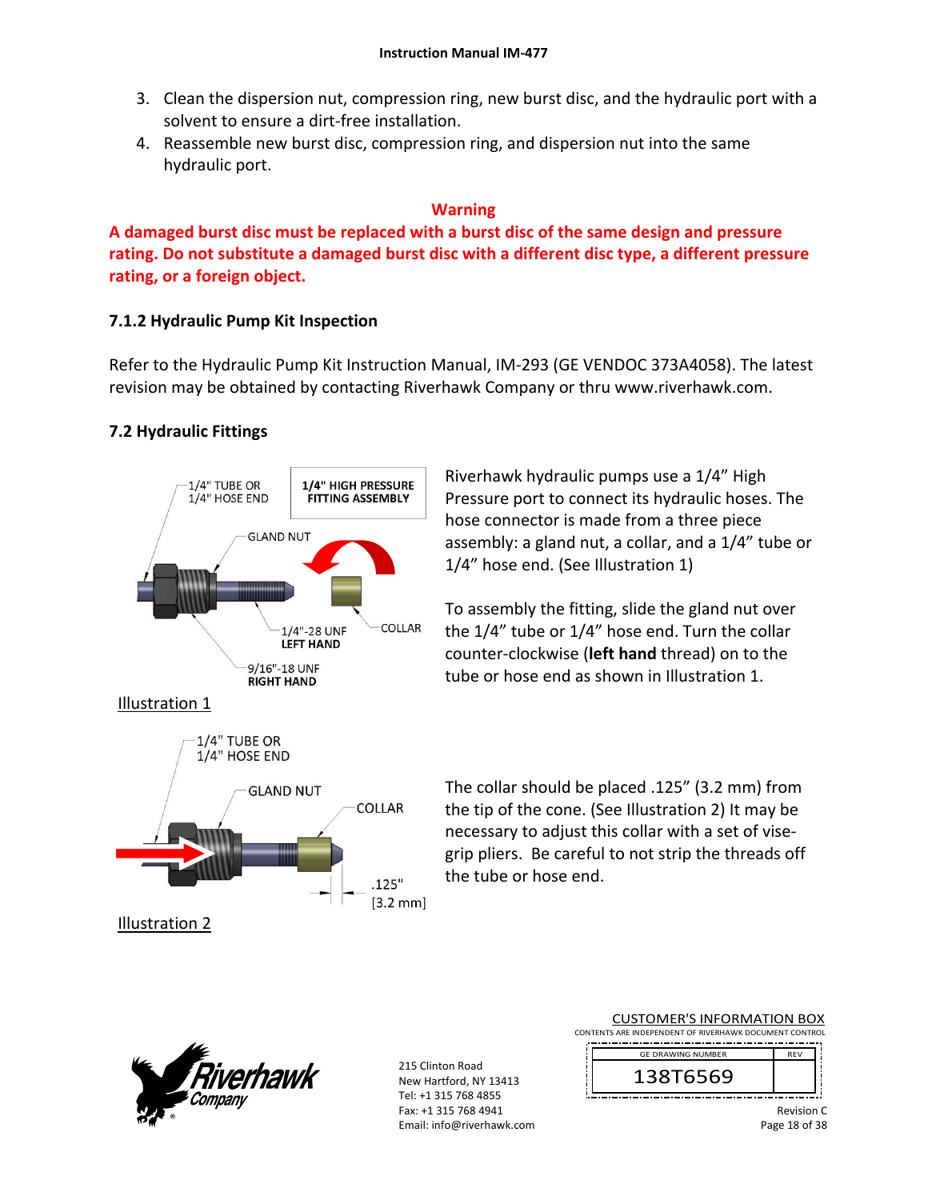- 3. Clean the dispersion nut, compression ring, new burst disc, and the hydraulic port with a solvent to ensure a dirt‐free installation.
- 4. Reassemble new burst disc, compression ring, and dispersion nut into the same hydraulic port.

### **Warning**

**A damaged burst disc must be replaced with a burst disc of the same design and pressure rating. Do not substitute a damaged burst disc with a different disc type, a different pressure rating, or a foreign object.**

## **7.1.2 Hydraulic Pump Kit Inspection**

Refer to the Hydraulic Pump Kit Instruction Manual, IM‐293 (GE VENDOC 373A4058). The latest revision may be obtained by contacting Riverhawk Company or thru www.riverhawk.com.

## **7.2 Hydraulic Fittings**



**GLAND NUT** 

COLLAR

 $.125"$  $[3.2 \text{ mm}]$ 

Riverhawk hydraulic pumps use a 1/4" High Pressure port to connect its hydraulic hoses. The hose connector is made from a three piece assembly: a gland nut, a collar, and a 1/4" tube or 1/4" hose end. (See Illustration 1)

To assembly the fitting, slide the gland nut over the 1/4" tube or 1/4" hose end. Turn the collar counter‐clockwise (**left hand** thread) on to the tube or hose end as shown in Illustration 1.

The collar should be placed .125" (3.2 mm) from the tip of the cone. (See Illustration 2) It may be necessary to adjust this collar with a set of vise‐ grip pliers. Be careful to not strip the threads off the tube or hose end.



Illustration 2

215 Clinton Road New Hartford, NY 13413 Tel: +1 315 768 4855 Fax: +1 315 768 4941 Email: info@riverhawk.com CUSTOMER'S INFORMATION BOX

CONTENTS ARE INDEPENDENT OF RIVERHAWK DOCUMENT CONTROL

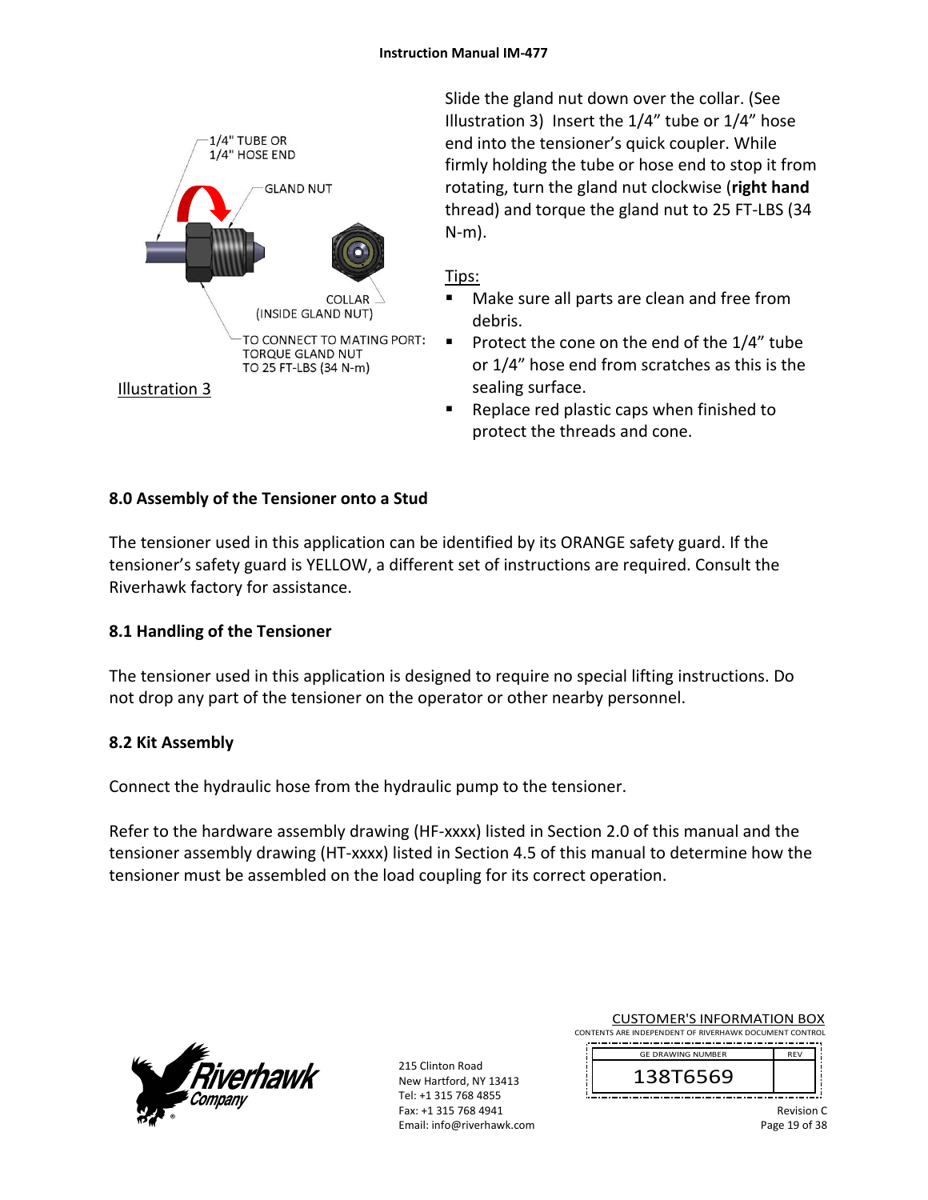

Slide the gland nut down over the collar. (See Illustration 3) Insert the 1/4" tube or 1/4" hose end into the tensioner's quick coupler. While firmly holding the tube or hose end to stop it from rotating, turn the gland nut clockwise (**right hand** thread) and torque the gland nut to 25 FT‐LBS (34 N‐m).

### Tips:

- Make sure all parts are clean and free from debris.
- Protect the cone on the end of the  $1/4$ " tube or 1/4" hose end from scratches as this is the sealing surface.
- Replace red plastic caps when finished to protect the threads and cone.

## **8.0 Assembly of the Tensioner onto a Stud**

The tensioner used in this application can be identified by its ORANGE safety guard. If the tensioner's safety guard is YELLOW, a different set of instructions are required. Consult the Riverhawk factory for assistance.

## **8.1 Handling of the Tensioner**

The tensioner used in this application is designed to require no special lifting instructions. Do not drop any part of the tensioner on the operator or other nearby personnel.

#### **8.2 Kit Assembly**

Connect the hydraulic hose from the hydraulic pump to the tensioner.

Refer to the hardware assembly drawing (HF-xxxx) listed in Section 2.0 of this manual and the tensioner assembly drawing (HT‐xxxx) listed in Section 4.5 of this manual to determine how the tensioner must be assembled on the load coupling for its correct operation.



215 Clinton Road New Hartford, NY 13413 Tel: +1 315 768 4855 Fax: +1 315 768 4941 Email: info@riverhawk.com CUSTOMER'S INFORMATION BOX

CONTENTS ARE INDEPENDENT OF RIVERHAWK DOCUMENT CONTROL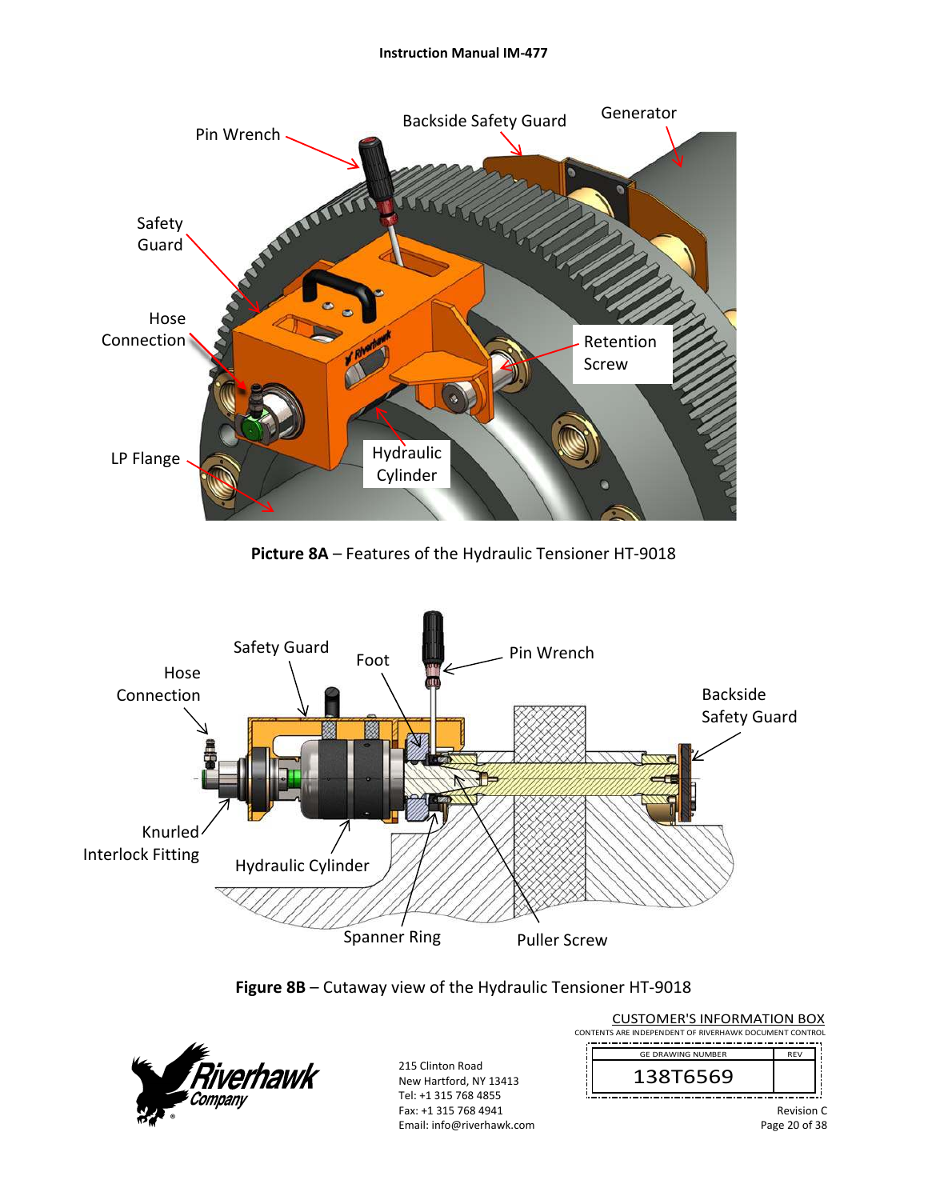#### **Instruction Manual IM‐477**



**Picture 8A** – Features of the Hydraulic Tensioner HT‐9018







215 Clinton Road New Hartford, NY 13413 Tel: +1 315 768 4855 Fax: +1 315 768 4941 Email: info@riverhawk.com CONTENTS ARE INDEPENDENT OF RIVERHAWK DOCUMENT CONTROL REV 138T6569 GE DRAWING NUMBER

CUSTOMER'S INFORMATION BOX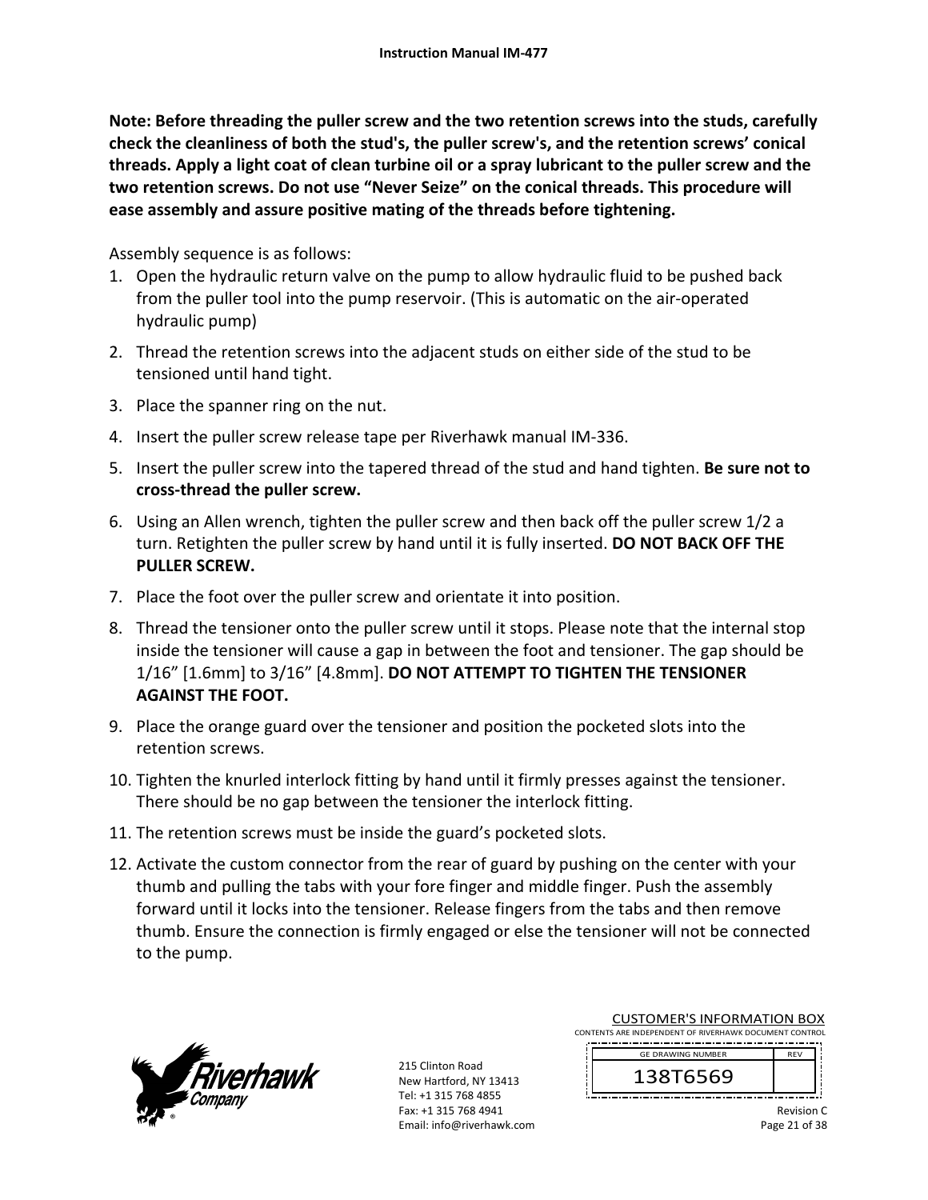**Note: Before threading the puller screw and the two retention screws into the studs, carefully check the cleanliness of both the stud's, the puller screw's, and the retention screws' conical threads. Apply a light coat of clean turbine oil or a spray lubricant to the puller screw and the two retention screws. Do not use "Never Seize" on the conical threads. This procedure will ease assembly and assure positive mating of the threads before tightening.** 

Assembly sequence is as follows:

- 1. Open the hydraulic return valve on the pump to allow hydraulic fluid to be pushed back from the puller tool into the pump reservoir. (This is automatic on the air‐operated hydraulic pump)
- 2. Thread the retention screws into the adjacent studs on either side of the stud to be tensioned until hand tight.
- 3. Place the spanner ring on the nut.
- 4. Insert the puller screw release tape per Riverhawk manual IM‐336.
- 5. Insert the puller screw into the tapered thread of the stud and hand tighten. **Be sure not to cross‐thread the puller screw.**
- 6. Using an Allen wrench, tighten the puller screw and then back off the puller screw 1/2 a turn. Retighten the puller screw by hand until it is fully inserted. **DO NOT BACK OFF THE PULLER SCREW.**
- 7. Place the foot over the puller screw and orientate it into position.
- 8. Thread the tensioner onto the puller screw until it stops. Please note that the internal stop inside the tensioner will cause a gap in between the foot and tensioner. The gap should be 1/16" [1.6mm] to 3/16" [4.8mm]. **DO NOT ATTEMPT TO TIGHTEN THE TENSIONER AGAINST THE FOOT.**
- 9. Place the orange guard over the tensioner and position the pocketed slots into the retention screws.
- 10. Tighten the knurled interlock fitting by hand until it firmly presses against the tensioner. There should be no gap between the tensioner the interlock fitting.
- 11. The retention screws must be inside the guard's pocketed slots.
- 12. Activate the custom connector from the rear of guard by pushing on the center with your thumb and pulling the tabs with your fore finger and middle finger. Push the assembly forward until it locks into the tensioner. Release fingers from the tabs and then remove thumb. Ensure the connection is firmly engaged or else the tensioner will not be connected to the pump.



215 Clinton Road New Hartford, NY 13413 Tel: +1 315 768 4855 Fax: +1 315 768 4941 Email: info@riverhawk.com

CUSTOMER'S INFORMATION BOX CONTENTS ARE INDEPENDENT OF RIVERHAWK DOCUMENT CONTROL

 REV GE DRAWING NUMBER

138T6569

Revision C Page 21 of 38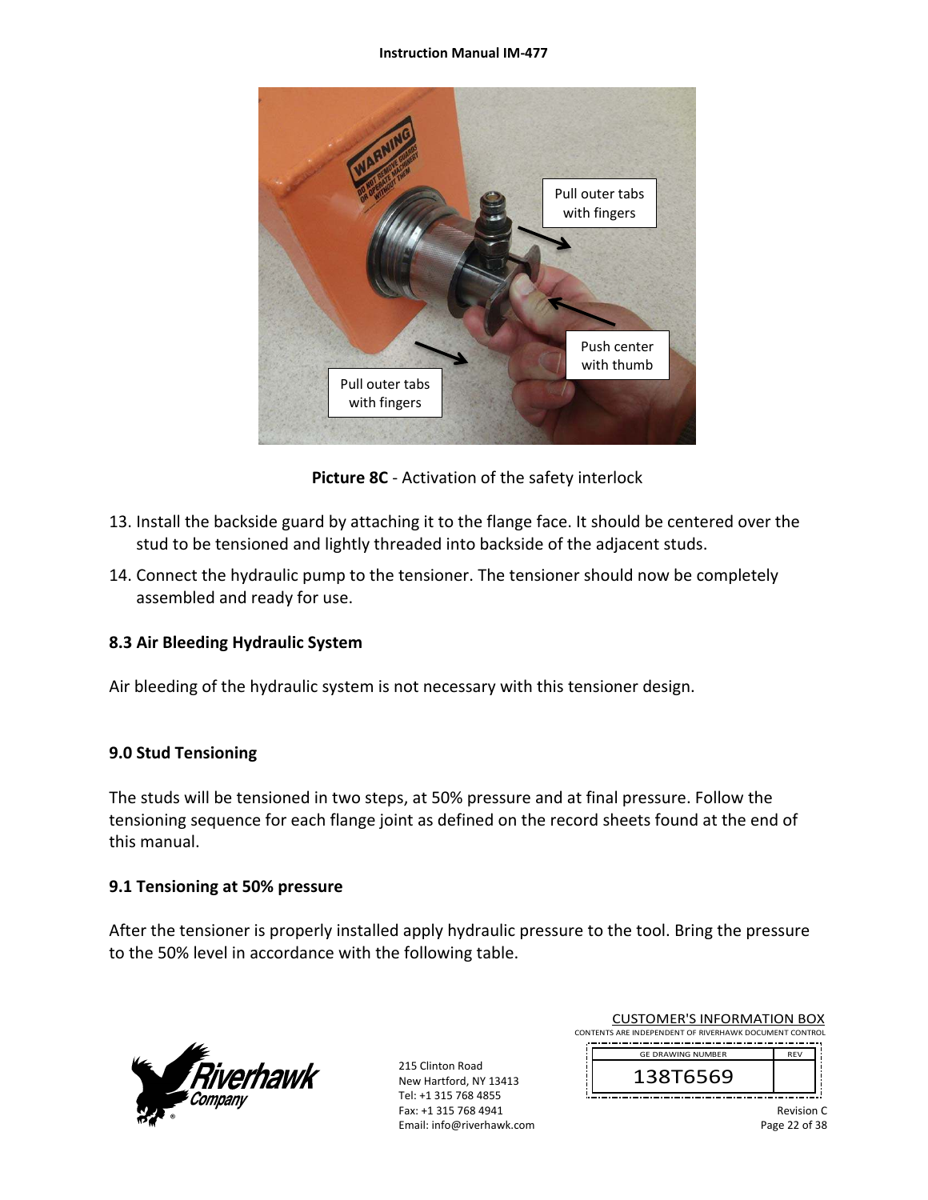#### **Instruction Manual IM‐477**



**Picture 8C** ‐ Activation of the safety interlock

- 13. Install the backside guard by attaching it to the flange face. It should be centered over the stud to be tensioned and lightly threaded into backside of the adjacent studs.
- 14. Connect the hydraulic pump to the tensioner. The tensioner should now be completely assembled and ready for use.

#### **8.3 Air Bleeding Hydraulic System**

Air bleeding of the hydraulic system is not necessary with this tensioner design.

#### **9.0 Stud Tensioning**

The studs will be tensioned in two steps, at 50% pressure and at final pressure. Follow the tensioning sequence for each flange joint as defined on the record sheets found at the end of this manual.

## **9.1 Tensioning at 50% pressure**

After the tensioner is properly installed apply hydraulic pressure to the tool. Bring the pressure to the 50% level in accordance with the following table.



215 Clinton Road New Hartford, NY 13413 Tel: +1 315 768 4855 Fax: +1 315 768 4941 Email: info@riverhawk.com

| <b>CUSTOMER'S INFORMATION BOX</b>                      |
|--------------------------------------------------------|
| CONTENTS ARE INDEPENDENT OF RIVERHAWK DOCUMENT CONTROL |
|                                                        |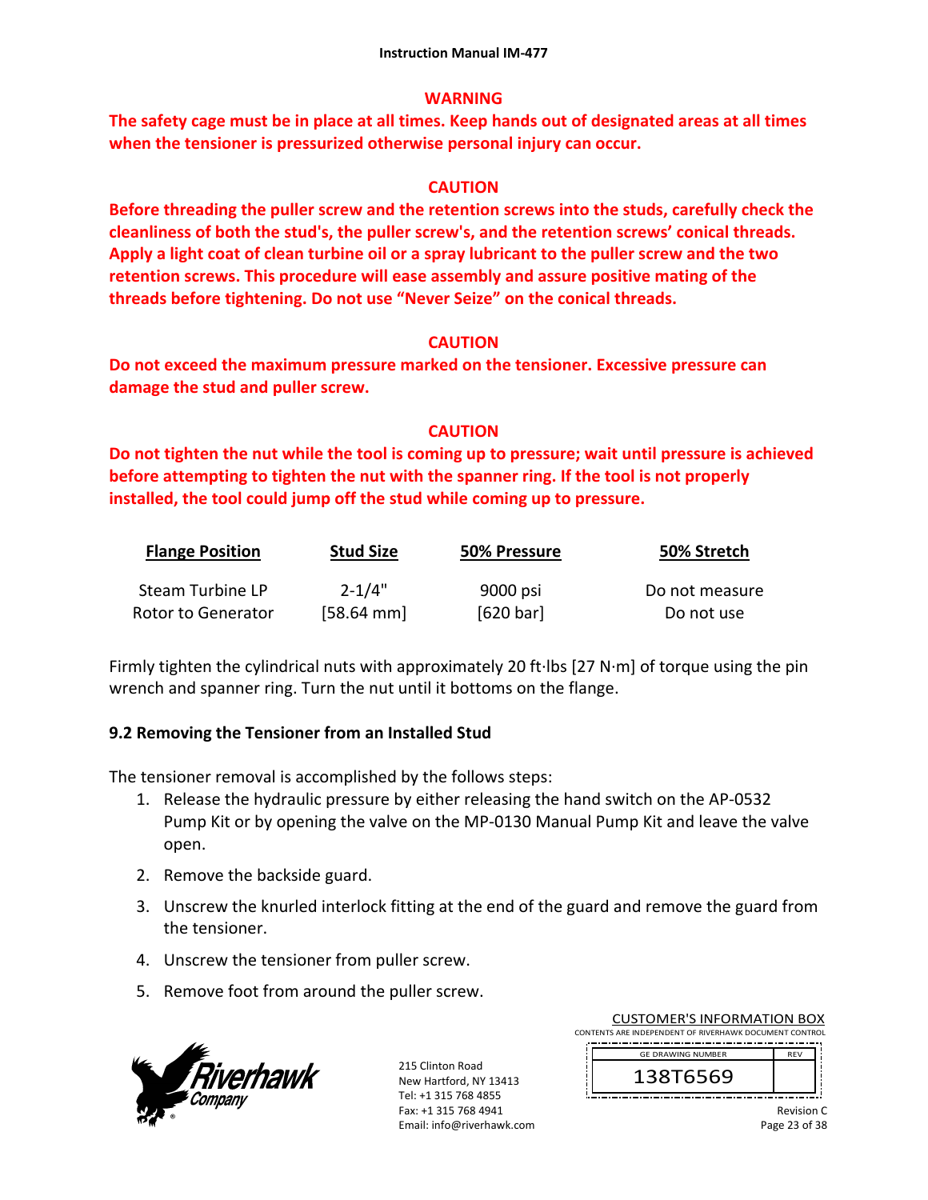### **WARNING**

**The safety cage must be in place at all times. Keep hands out of designated areas at all times when the tensioner is pressurized otherwise personal injury can occur.** 

## **CAUTION**

**Before threading the puller screw and the retention screws into the studs, carefully check the cleanliness of both the stud's, the puller screw's, and the retention screws' conical threads. Apply a light coat of clean turbine oil or a spray lubricant to the puller screw and the two retention screws. This procedure will ease assembly and assure positive mating of the threads before tightening. Do not use "Never Seize" on the conical threads.** 

## **CAUTION**

**Do not exceed the maximum pressure marked on the tensioner. Excessive pressure can damage the stud and puller screw.** 

## **CAUTION**

**Do not tighten the nut while the tool is coming up to pressure; wait until pressure is achieved before attempting to tighten the nut with the spanner ring. If the tool is not properly installed, the tool could jump off the stud while coming up to pressure.** 

| <b>Flange Position</b> | <b>Stud Size</b>     | 50% Pressure | 50% Stretch    |
|------------------------|----------------------|--------------|----------------|
| Steam Turbine LP       | $2 - 1/4"$           | 9000 psi     | Do not measure |
| Rotor to Generator     | $[58.64 \text{ mm}]$ | [620 bar]    | Do not use     |

Firmly tighten the cylindrical nuts with approximately 20 ft∙lbs [27 N∙m] of torque using the pin wrench and spanner ring. Turn the nut until it bottoms on the flange.

## **9.2 Removing the Tensioner from an Installed Stud**

The tensioner removal is accomplished by the follows steps:

- 1. Release the hydraulic pressure by either releasing the hand switch on the AP‐0532 Pump Kit or by opening the valve on the MP‐0130 Manual Pump Kit and leave the valve open.
- 2. Remove the backside guard.
- 3. Unscrew the knurled interlock fitting at the end of the guard and remove the guard from the tensioner.
- 4. Unscrew the tensioner from puller screw.
- 5. Remove foot from around the puller screw.



215 Clinton Road New Hartford, NY 13413 Tel: +1 315 768 4855 Fax: +1 315 768 4941 Email: info@riverhawk.com

CUSTOMER'S INFORMATION BOX CONTENTS ARE INDEPENDENT OF RIVERHAWK DOCUMENT CONTROL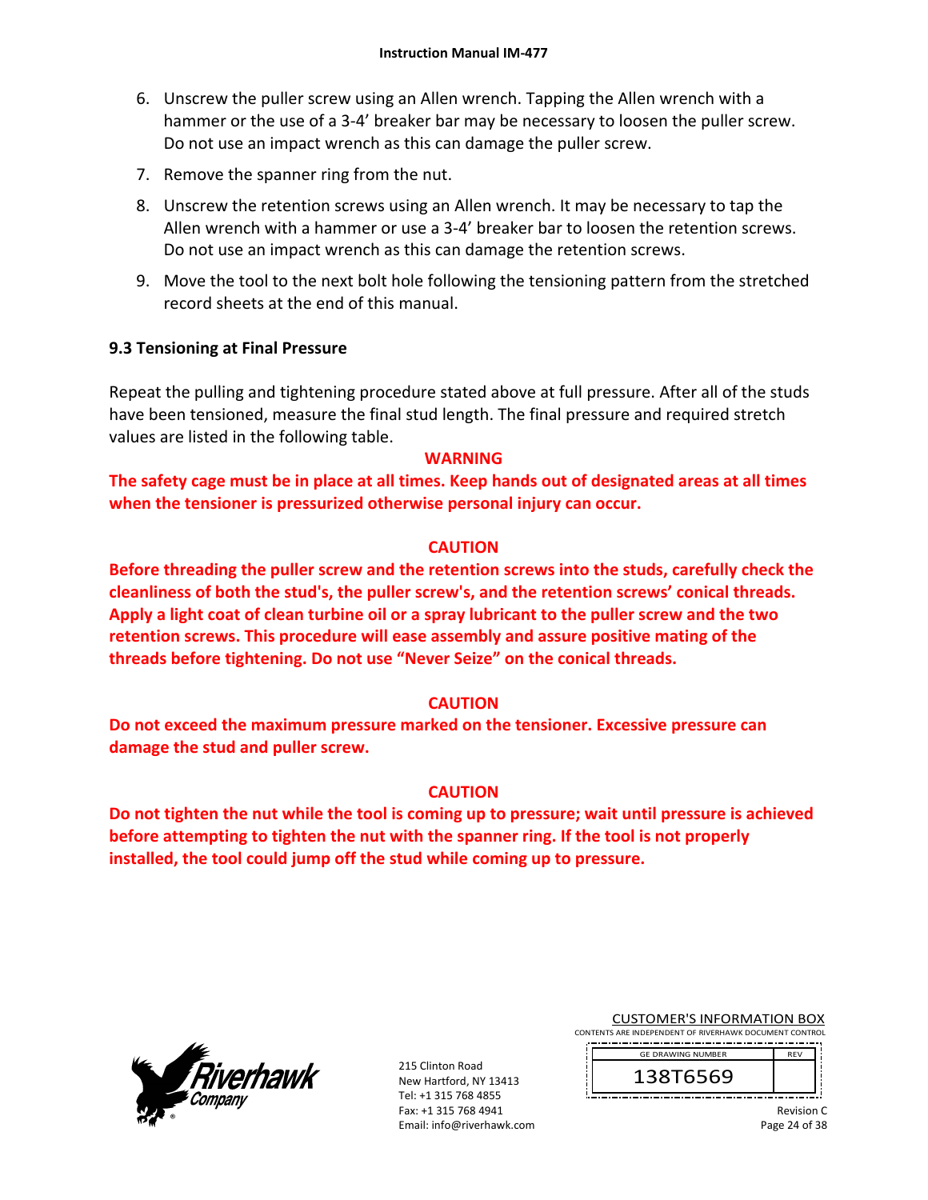- 6. Unscrew the puller screw using an Allen wrench. Tapping the Allen wrench with a hammer or the use of a 3‐4' breaker bar may be necessary to loosen the puller screw. Do not use an impact wrench as this can damage the puller screw.
- 7. Remove the spanner ring from the nut.
- 8. Unscrew the retention screws using an Allen wrench. It may be necessary to tap the Allen wrench with a hammer or use a 3‐4' breaker bar to loosen the retention screws. Do not use an impact wrench as this can damage the retention screws.
- 9. Move the tool to the next bolt hole following the tensioning pattern from the stretched record sheets at the end of this manual.

#### **9.3 Tensioning at Final Pressure**

Repeat the pulling and tightening procedure stated above at full pressure. After all of the studs have been tensioned, measure the final stud length. The final pressure and required stretch values are listed in the following table.

#### **WARNING**

**The safety cage must be in place at all times. Keep hands out of designated areas at all times when the tensioner is pressurized otherwise personal injury can occur.** 

#### **CAUTION**

**Before threading the puller screw and the retention screws into the studs, carefully check the cleanliness of both the stud's, the puller screw's, and the retention screws' conical threads. Apply a light coat of clean turbine oil or a spray lubricant to the puller screw and the two retention screws. This procedure will ease assembly and assure positive mating of the threads before tightening. Do not use "Never Seize" on the conical threads.** 

#### **CAUTION**

**Do not exceed the maximum pressure marked on the tensioner. Excessive pressure can damage the stud and puller screw.** 

#### **CAUTION**

**Do not tighten the nut while the tool is coming up to pressure; wait until pressure is achieved before attempting to tighten the nut with the spanner ring. If the tool is not properly installed, the tool could jump off the stud while coming up to pressure.**



215 Clinton Road New Hartford, NY 13413 Tel: +1 315 768 4855 Fax: +1 315 768 4941 Email: info@riverhawk.com CUSTOMER'S INFORMATION BOX

CONTENTS ARE INDEPENDENT OF RIVERHAWK DOCUMENT CONTROL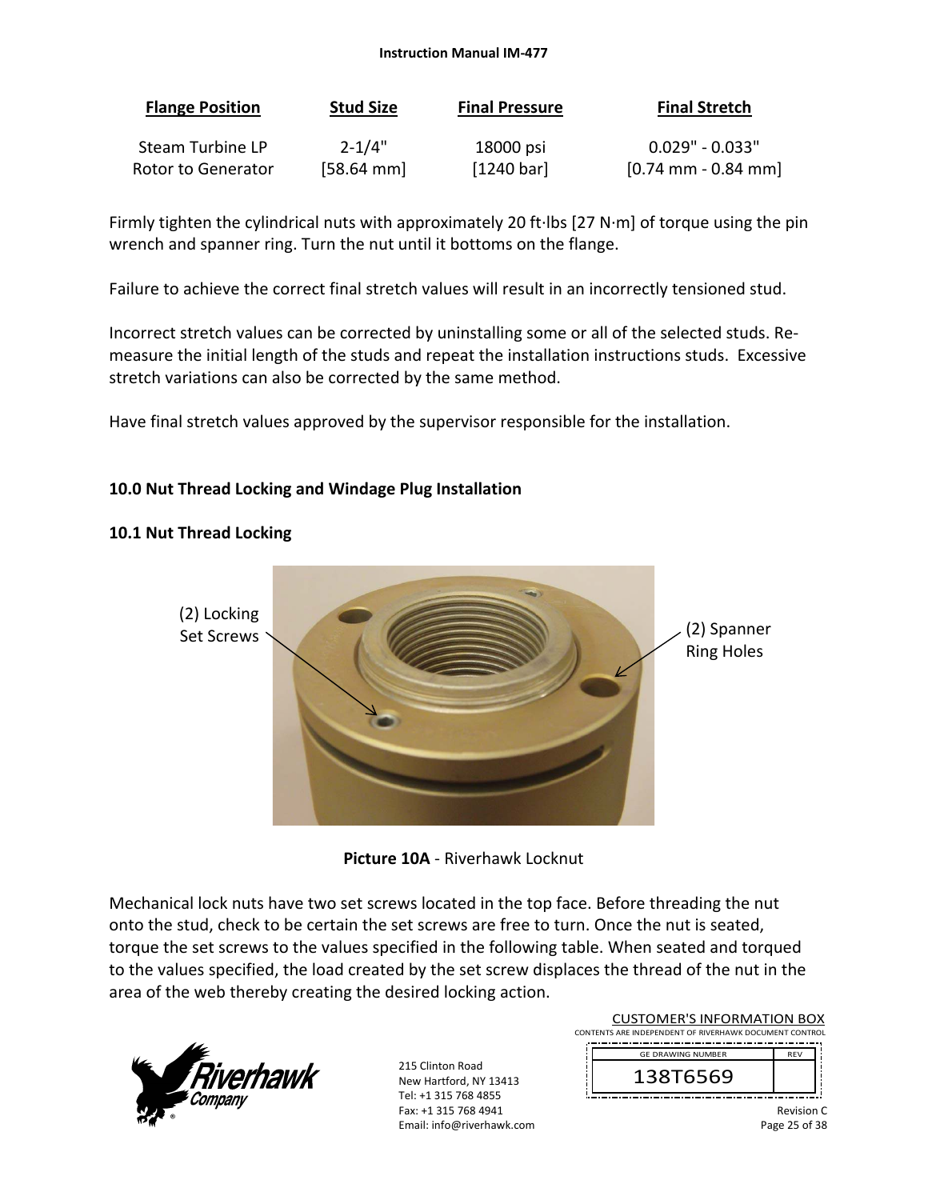#### **Instruction Manual IM‐477**

| <b>Flange Position</b>  | <b>Stud Size</b>     | <b>Final Pressure</b> | <b>Final Stretch</b>                  |
|-------------------------|----------------------|-----------------------|---------------------------------------|
| <b>Steam Turbine LP</b> | $2 - 1/4"$           | 18000 psi             | $0.029"$ - $0.033"$                   |
| Rotor to Generator      | $[58.64 \text{ mm}]$ | [1240 bar]            | $[0.74 \text{ mm} - 0.84 \text{ mm}]$ |

Firmly tighten the cylindrical nuts with approximately 20 ft∙lbs [27 N∙m] of torque using the pin wrench and spanner ring. Turn the nut until it bottoms on the flange.

Failure to achieve the correct final stretch values will result in an incorrectly tensioned stud.

Incorrect stretch values can be corrected by uninstalling some or all of the selected studs. Re‐ measure the initial length of the studs and repeat the installation instructions studs. Excessive stretch variations can also be corrected by the same method.

Have final stretch values approved by the supervisor responsible for the installation.

## **10.0 Nut Thread Locking and Windage Plug Installation**

#### **10.1 Nut Thread Locking**





Mechanical lock nuts have two set screws located in the top face. Before threading the nut onto the stud, check to be certain the set screws are free to turn. Once the nut is seated, torque the set screws to the values specified in the following table. When seated and torqued to the values specified, the load created by the set screw displaces the thread of the nut in the area of the web thereby creating the desired locking action.



215 Clinton Road New Hartford, NY 13413 Tel: +1 315 768 4855 Fax: +1 315 768 4941 Email: info@riverhawk.com

| <b>CUSTOMER'S INFORMATION BOX</b>                      |            |  |
|--------------------------------------------------------|------------|--|
| CONTENTS ARE INDEPENDENT OF RIVERHAWK DOCUMENT CONTROL |            |  |
| <b>GE DRAWING NUMBER</b>                               | <b>RFV</b> |  |
| 138T6569                                               |            |  |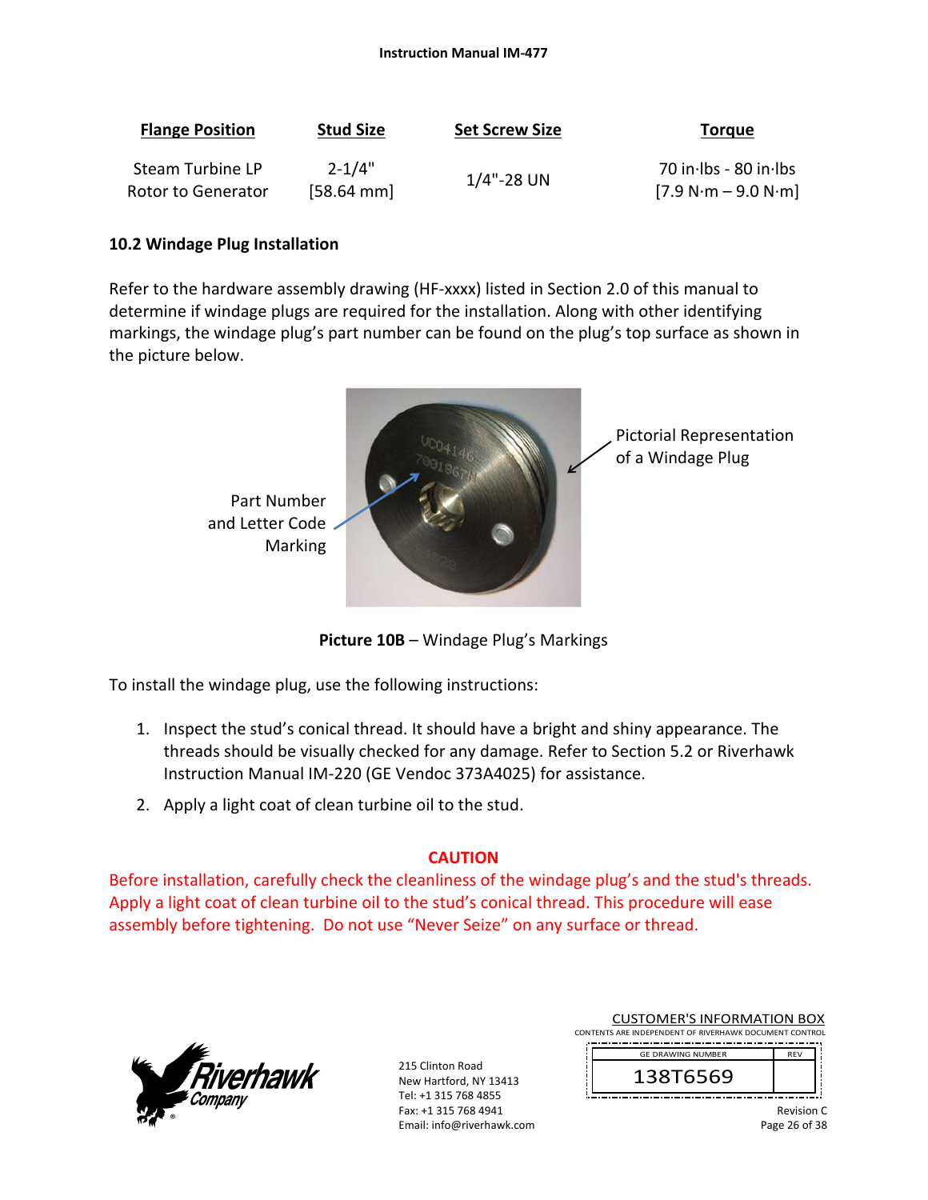| <b>Flange Position</b> | <b>Stud Size</b>     | <b>Set Screw Size</b> | <b>Torgue</b>         |
|------------------------|----------------------|-----------------------|-----------------------|
| Steam Turbine LP       | $2 - 1/4"$           |                       | 70 in Ibs - 80 in Ibs |
| Rotor to Generator     | $[58.64 \text{ mm}]$ | $1/4$ "-28 UN         | $[7.9 N·m - 9.0 N·m]$ |

#### **10.2 Windage Plug Installation**

Refer to the hardware assembly drawing (HF-xxxx) listed in Section 2.0 of this manual to determine if windage plugs are required for the installation. Along with other identifying markings, the windage plug's part number can be found on the plug's top surface as shown in the picture below.



**Picture 10B** – Windage Plug's Markings

To install the windage plug, use the following instructions:

- 1. Inspect the stud's conical thread. It should have a bright and shiny appearance. The threads should be visually checked for any damage. Refer to Section 5.2 or Riverhawk Instruction Manual IM‐220 (GE Vendoc 373A4025) for assistance.
- 2. Apply a light coat of clean turbine oil to the stud.

#### **CAUTION**

Before installation, carefully check the cleanliness of the windage plug's and the stud's threads. Apply a light coat of clean turbine oil to the stud's conical thread. This procedure will ease assembly before tightening. Do not use "Never Seize" on any surface or thread.



215 Clinton Road New Hartford, NY 13413 Tel: +1 315 768 4855 Fax: +1 315 768 4941 Email: info@riverhawk.com CUSTOMER'S INFORMATION BOX

CONTENTS ARE INDEPENDENT OF RIVERHAWK DOCUMENT CONTROL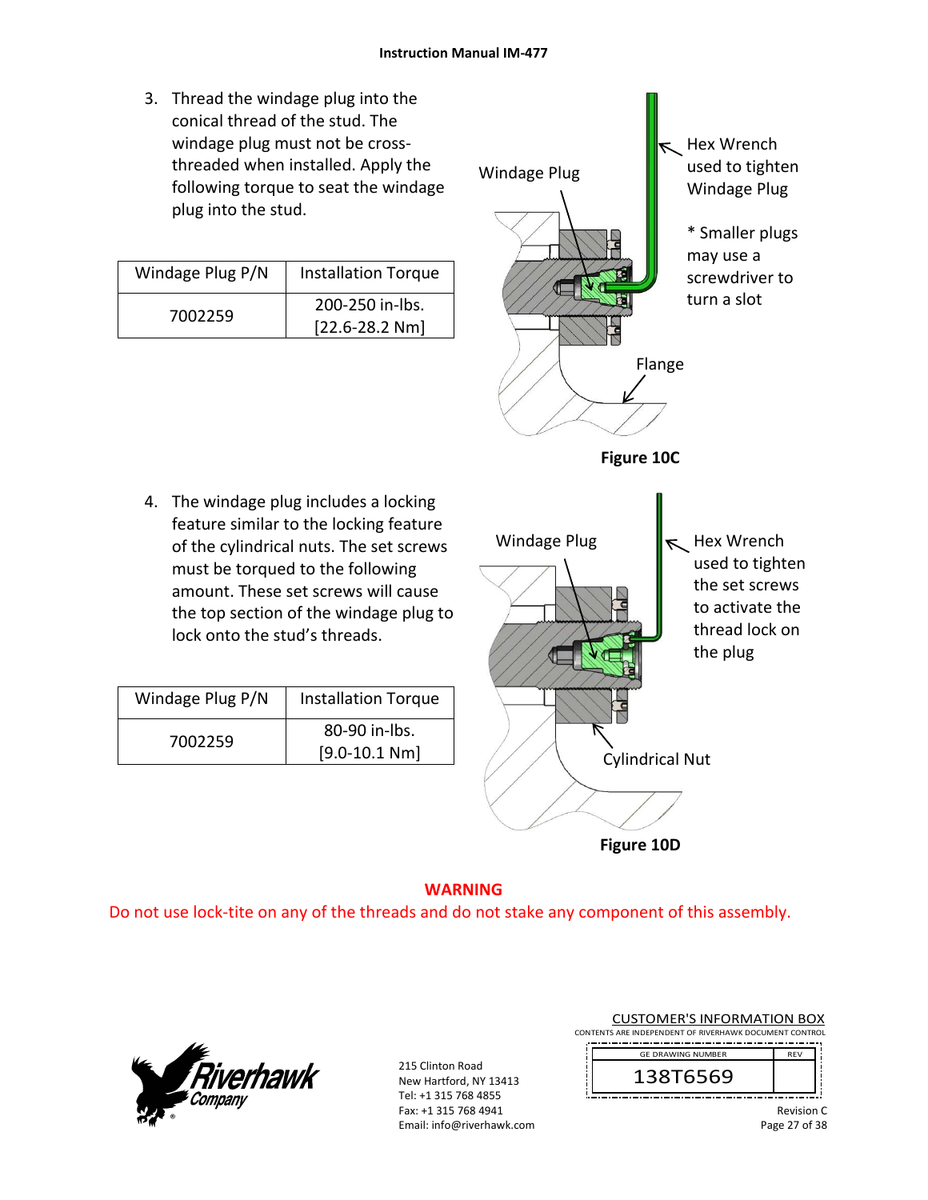3. Thread the windage plug into the conical thread of the stud. The windage plug must not be cross‐ threaded when installed. Apply the following torque to seat the windage plug into the stud.

| Windage Plug P/N | <b>Installation Torque</b> |
|------------------|----------------------------|
| 7002259          | 200-250 in-lbs.            |
|                  | $[22.6 - 28.2 Nm]$         |

4. The windage plug includes a locking feature similar to the locking feature of the cylindrical nuts. The set screws must be torqued to the following amount. These set screws will cause the top section of the windage plug to

lock onto the stud's threads.

Windage Plug P/N | Installation Torque

7002259 80-90 in-lbs.

[9.0‐10.1 Nm]



**Figure 10D**

#### **WARNING**  Do not use lock‐tite on any of the threads and do not stake any component of this assembly.



215 Clinton Road New Hartford, NY 13413 Tel: +1 315 768 4855 Fax: +1 315 768 4941 Email: info@riverhawk.com CUSTOMER'S INFORMATION BOX

CONTENTS ARE INDEPENDENT OF RIVERHAWK DOCUMENT CONTROL



Revision C Page 27 of 38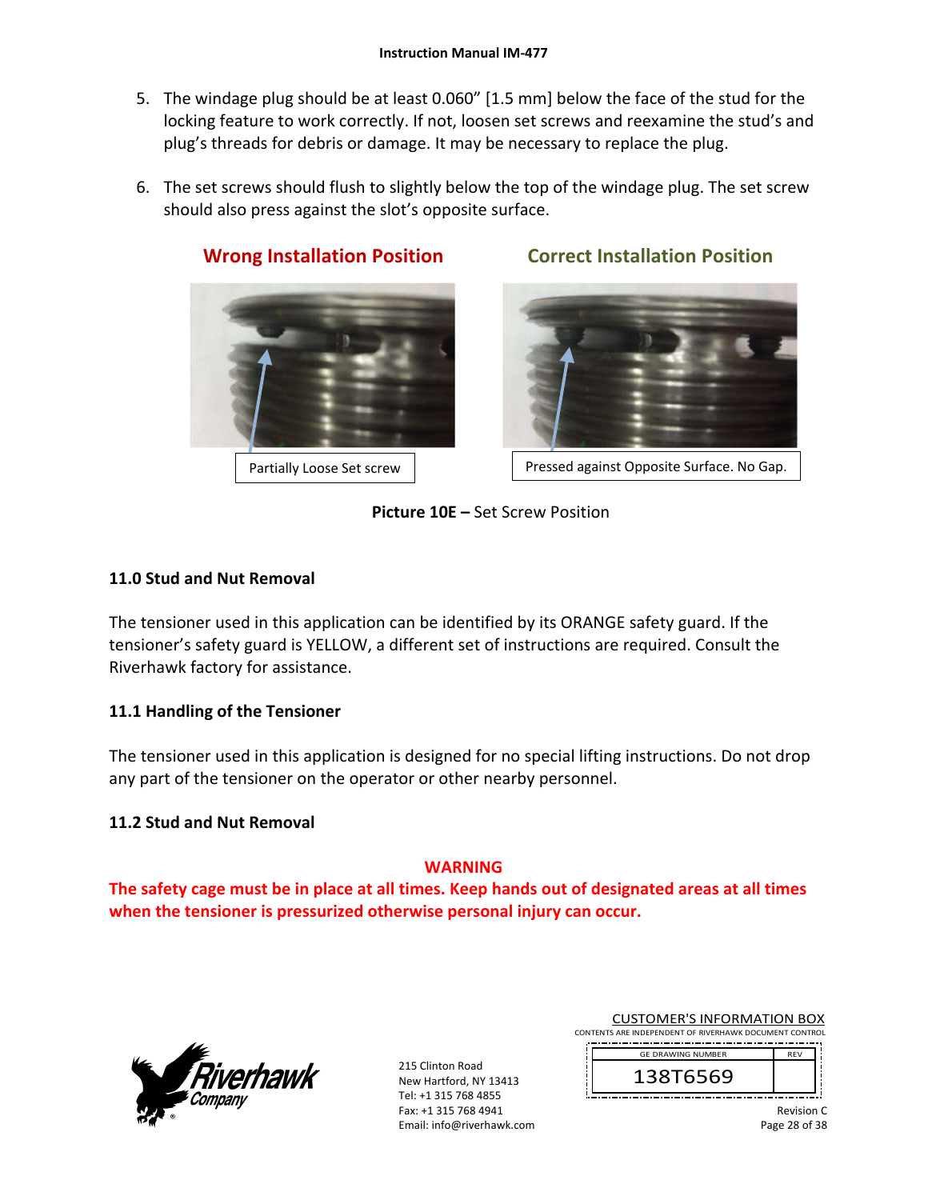- 5. The windage plug should be at least 0.060" [1.5 mm] below the face of the stud for the locking feature to work correctly. If not, loosen set screws and reexamine the stud's and plug's threads for debris or damage. It may be necessary to replace the plug.
- 6. The set screws should flush to slightly below the top of the windage plug. The set screw should also press against the slot's opposite surface.



**Wrong Installation Position Correct Installation Position** 



Partially Loose Set screw | Ressed against Opposite Surface. No Gap.

**Picture 10E –** Set Screw Position

## **11.0 Stud and Nut Removal**

The tensioner used in this application can be identified by its ORANGE safety guard. If the tensioner's safety guard is YELLOW, a different set of instructions are required. Consult the Riverhawk factory for assistance.

## **11.1 Handling of the Tensioner**

The tensioner used in this application is designed for no special lifting instructions. Do not drop any part of the tensioner on the operator or other nearby personnel.

## **11.2 Stud and Nut Removal**

## **WARNING**

**The safety cage must be in place at all times. Keep hands out of designated areas at all times when the tensioner is pressurized otherwise personal injury can occur.** 



215 Clinton Road New Hartford, NY 13413 Tel: +1 315 768 4855 Fax: +1 315 768 4941 Email: info@riverhawk.com CUSTOMER'S INFORMATION BOX

CONTENTS ARE INDEPENDENT OF RIVERHAWK DOCUMENT CONTROL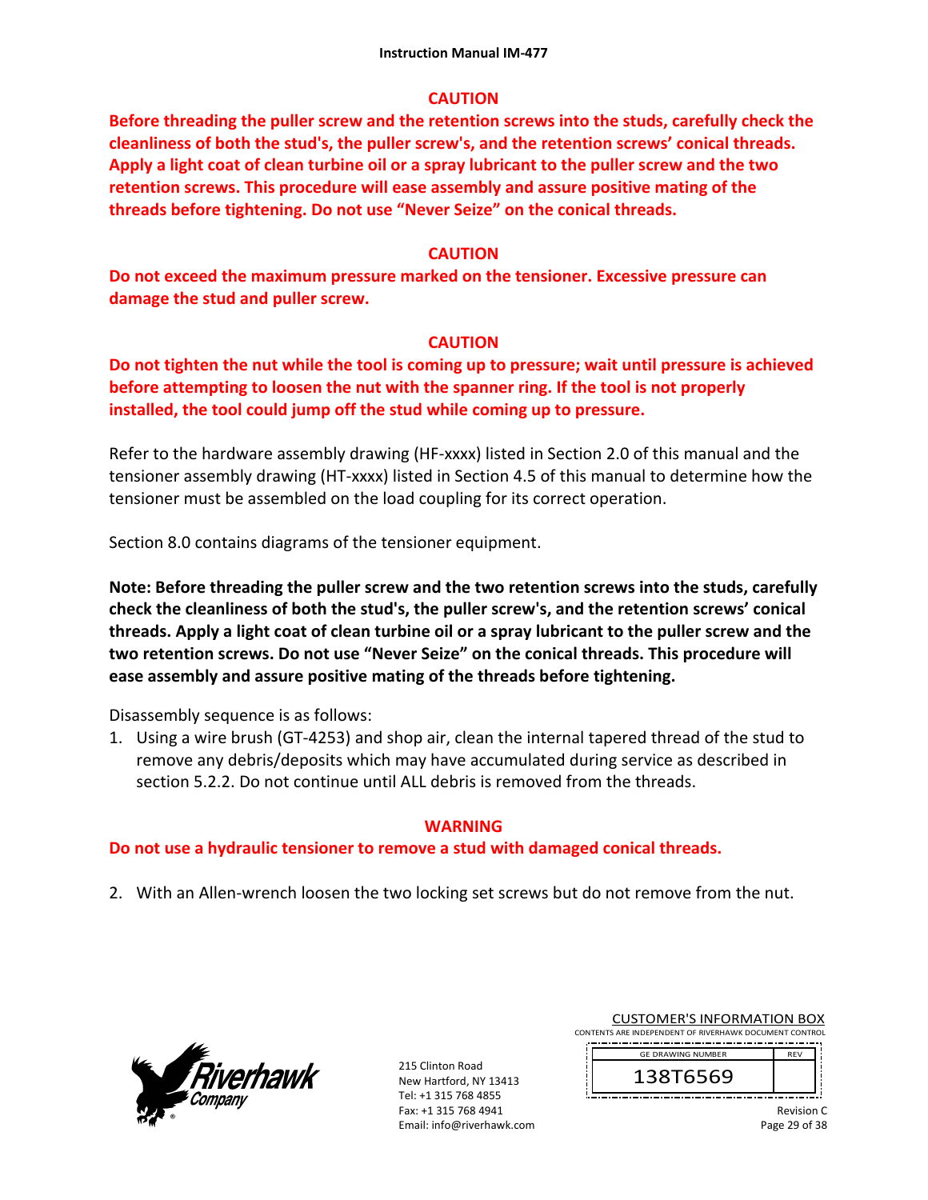## **CAUTION**

**Before threading the puller screw and the retention screws into the studs, carefully check the cleanliness of both the stud's, the puller screw's, and the retention screws' conical threads. Apply a light coat of clean turbine oil or a spray lubricant to the puller screw and the two retention screws. This procedure will ease assembly and assure positive mating of the threads before tightening. Do not use "Never Seize" on the conical threads.** 

## **CAUTION**

**Do not exceed the maximum pressure marked on the tensioner. Excessive pressure can damage the stud and puller screw.** 

## **CAUTION**

**Do not tighten the nut while the tool is coming up to pressure; wait until pressure is achieved before attempting to loosen the nut with the spanner ring. If the tool is not properly installed, the tool could jump off the stud while coming up to pressure.** 

Refer to the hardware assembly drawing (HF-xxxx) listed in Section 2.0 of this manual and the tensioner assembly drawing (HT‐xxxx) listed in Section 4.5 of this manual to determine how the tensioner must be assembled on the load coupling for its correct operation.

Section 8.0 contains diagrams of the tensioner equipment.

**Note: Before threading the puller screw and the two retention screws into the studs, carefully check the cleanliness of both the stud's, the puller screw's, and the retention screws' conical threads. Apply a light coat of clean turbine oil or a spray lubricant to the puller screw and the two retention screws. Do not use "Never Seize" on the conical threads. This procedure will ease assembly and assure positive mating of the threads before tightening.** 

Disassembly sequence is as follows:

1. Using a wire brush (GT‐4253) and shop air, clean the internal tapered thread of the stud to remove any debris/deposits which may have accumulated during service as described in section 5.2.2. Do not continue until ALL debris is removed from the threads.

## **WARNING**

## **Do not use a hydraulic tensioner to remove a stud with damaged conical threads.**

2. With an Allen‐wrench loosen the two locking set screws but do not remove from the nut.



215 Clinton Road New Hartford, NY 13413 Tel: +1 315 768 4855 Fax: +1 315 768 4941 Email: info@riverhawk.com

CUSTOMER'S INFORMATION BOX CONTENTS ARE INDEPENDENT OF RIVERHAWK DOCUMENT CONTROL



Revision C Page 29 of 38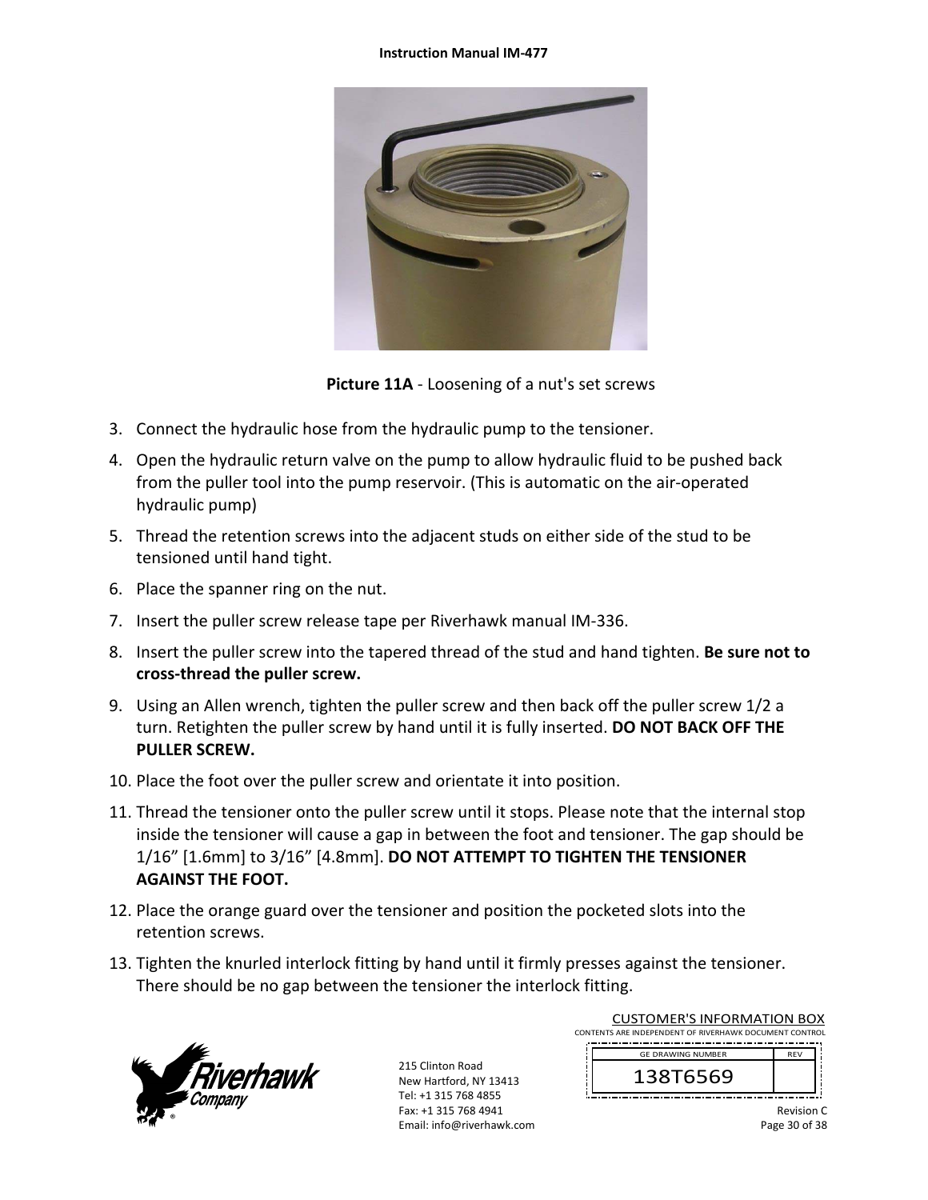#### **Instruction Manual IM‐477**



**Picture 11A** ‐ Loosening of a nut's set screws

- 3. Connect the hydraulic hose from the hydraulic pump to the tensioner.
- 4. Open the hydraulic return valve on the pump to allow hydraulic fluid to be pushed back from the puller tool into the pump reservoir. (This is automatic on the air‐operated hydraulic pump)
- 5. Thread the retention screws into the adjacent studs on either side of the stud to be tensioned until hand tight.
- 6. Place the spanner ring on the nut.
- 7. Insert the puller screw release tape per Riverhawk manual IM‐336.
- 8. Insert the puller screw into the tapered thread of the stud and hand tighten. **Be sure not to cross‐thread the puller screw.**
- 9. Using an Allen wrench, tighten the puller screw and then back off the puller screw 1/2 a turn. Retighten the puller screw by hand until it is fully inserted. **DO NOT BACK OFF THE PULLER SCREW.**
- 10. Place the foot over the puller screw and orientate it into position.
- 11. Thread the tensioner onto the puller screw until it stops. Please note that the internal stop inside the tensioner will cause a gap in between the foot and tensioner. The gap should be 1/16" [1.6mm] to 3/16" [4.8mm]. **DO NOT ATTEMPT TO TIGHTEN THE TENSIONER AGAINST THE FOOT.**
- 12. Place the orange guard over the tensioner and position the pocketed slots into the retention screws.
- 13. Tighten the knurled interlock fitting by hand until it firmly presses against the tensioner. There should be no gap between the tensioner the interlock fitting.



215 Clinton Road New Hartford, NY 13413 Tel: +1 315 768 4855 Fax: +1 315 768 4941 Email: info@riverhawk.com

| CONTENTS ARE INDEPENDENT OF RIVERHAWK DOCUMENT CONTROL |            |  |
|--------------------------------------------------------|------------|--|
| <b>GE DRAWING NUMBER</b>                               | <b>RFV</b> |  |
| 138T6569                                               |            |  |

CUSTOMER'S INFORMATION BOX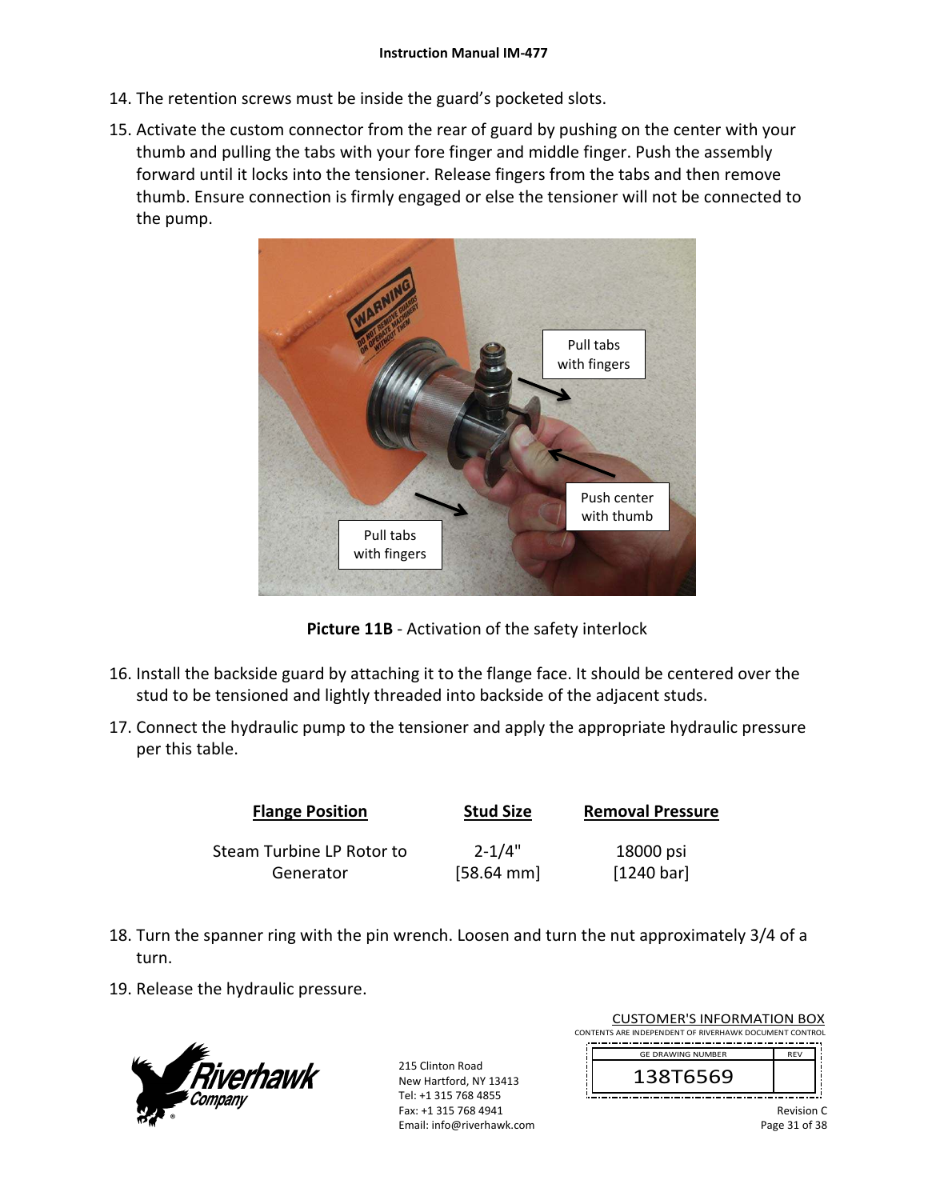- 14. The retention screws must be inside the guard's pocketed slots.
- 15. Activate the custom connector from the rear of guard by pushing on the center with your thumb and pulling the tabs with your fore finger and middle finger. Push the assembly forward until it locks into the tensioner. Release fingers from the tabs and then remove thumb. Ensure connection is firmly engaged or else the tensioner will not be connected to the pump.



**Picture 11B** ‐ Activation of the safety interlock

- 16. Install the backside guard by attaching it to the flange face. It should be centered over the stud to be tensioned and lightly threaded into backside of the adjacent studs.
- 17. Connect the hydraulic pump to the tensioner and apply the appropriate hydraulic pressure per this table.

| <b>Flange Position</b>    | <b>Stud Size</b>     | <b>Removal Pressure</b> |
|---------------------------|----------------------|-------------------------|
| Steam Turbine LP Rotor to | $2 - 1/4"$           | 18000 psi               |
| Generator                 | $[58.64 \text{ mm}]$ | [1240 bar]              |

- 18. Turn the spanner ring with the pin wrench. Loosen and turn the nut approximately 3/4 of a turn.
- 19. Release the hydraulic pressure.



215 Clinton Road New Hartford, NY 13413 Tel: +1 315 768 4855 Fax: +1 315 768 4941 Email: info@riverhawk.com

CUSTOMER'S INFORMATION BOX CONTENTS ARE INDEPENDENT OF RIVERHAWK DOCUMENT CONTROL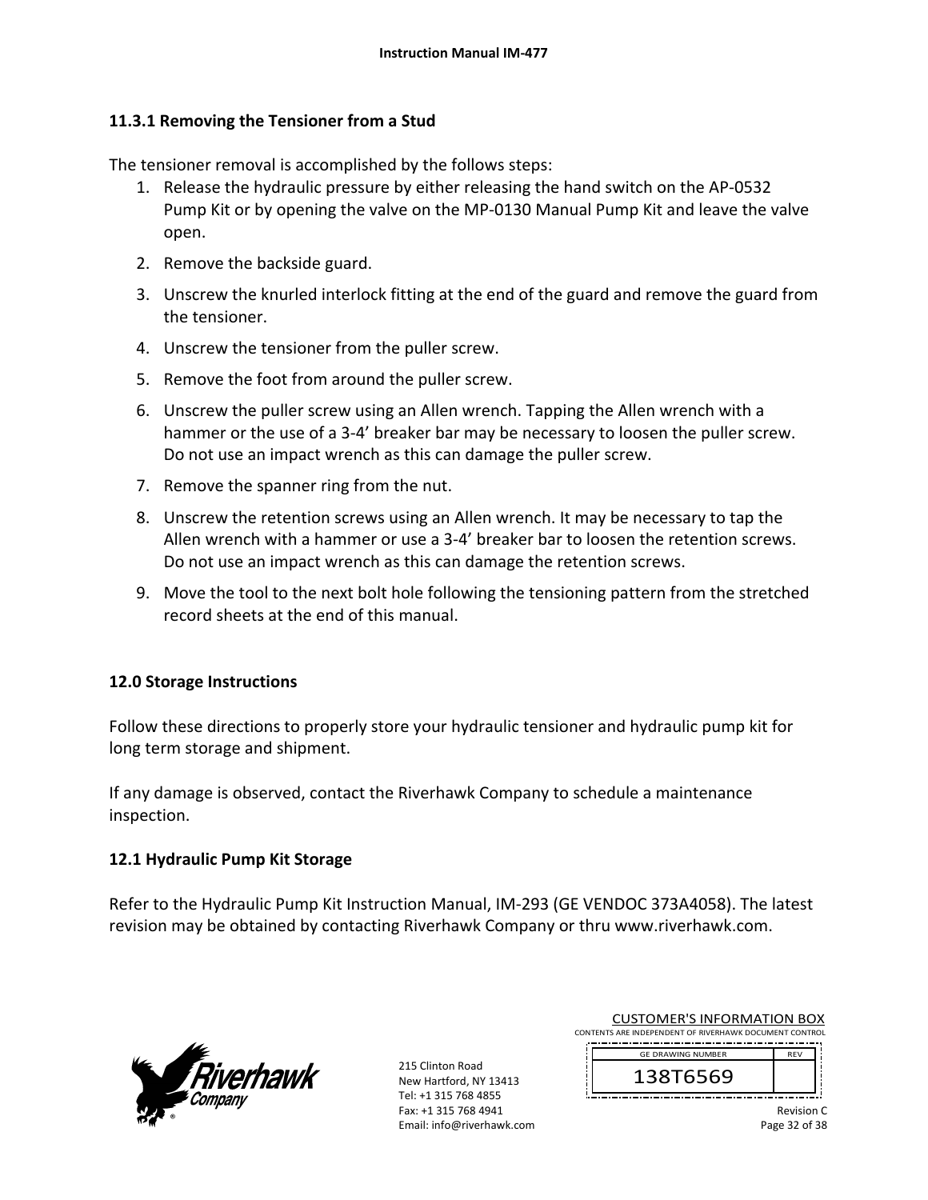## **11.3.1 Removing the Tensioner from a Stud**

The tensioner removal is accomplished by the follows steps:

- 1. Release the hydraulic pressure by either releasing the hand switch on the AP‐0532 Pump Kit or by opening the valve on the MP‐0130 Manual Pump Kit and leave the valve open.
- 2. Remove the backside guard.
- 3. Unscrew the knurled interlock fitting at the end of the guard and remove the guard from the tensioner.
- 4. Unscrew the tensioner from the puller screw.
- 5. Remove the foot from around the puller screw.
- 6. Unscrew the puller screw using an Allen wrench. Tapping the Allen wrench with a hammer or the use of a 3-4' breaker bar may be necessary to loosen the puller screw. Do not use an impact wrench as this can damage the puller screw.
- 7. Remove the spanner ring from the nut.
- 8. Unscrew the retention screws using an Allen wrench. It may be necessary to tap the Allen wrench with a hammer or use a 3‐4' breaker bar to loosen the retention screws. Do not use an impact wrench as this can damage the retention screws.
- 9. Move the tool to the next bolt hole following the tensioning pattern from the stretched record sheets at the end of this manual.

#### **12.0 Storage Instructions**

Follow these directions to properly store your hydraulic tensioner and hydraulic pump kit for long term storage and shipment.

If any damage is observed, contact the Riverhawk Company to schedule a maintenance inspection.

## **12.1 Hydraulic Pump Kit Storage**

Refer to the Hydraulic Pump Kit Instruction Manual, IM‐293 (GE VENDOC 373A4058). The latest revision may be obtained by contacting Riverhawk Company or thru www.riverhawk.com.



215 Clinton Road New Hartford, NY 13413 Tel: +1 315 768 4855 Fax: +1 315 768 4941 Email: info@riverhawk.com

CUSTOMER'S INFORMATION BOX CONTENTS ARE INDEPENDENT OF RIVERHAWK DOCUMENT CONTROL

 REV GE DRAWING NUMBER

138T6569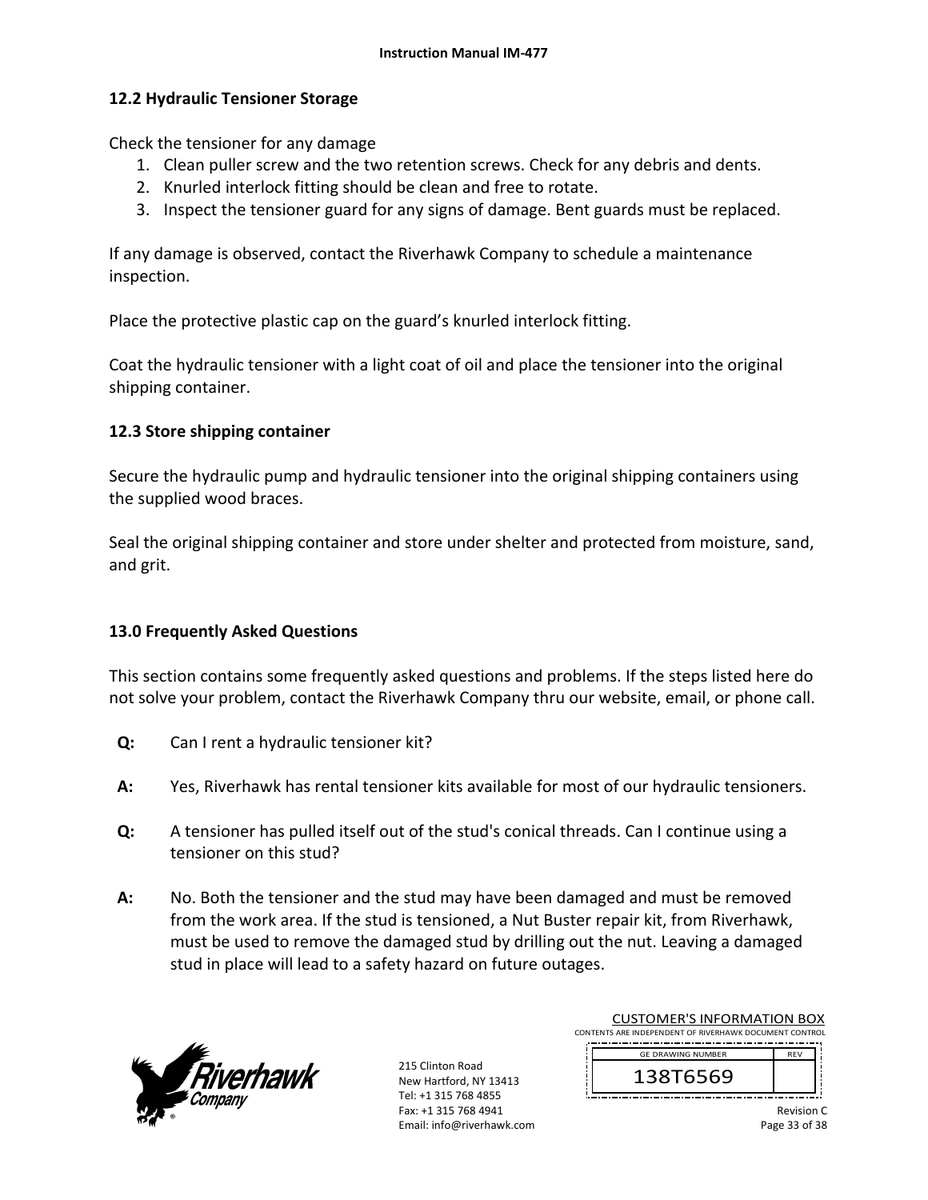### **12.2 Hydraulic Tensioner Storage**

Check the tensioner for any damage

- 1. Clean puller screw and the two retention screws. Check for any debris and dents.
- 2. Knurled interlock fitting should be clean and free to rotate.
- 3. Inspect the tensioner guard for any signs of damage. Bent guards must be replaced.

If any damage is observed, contact the Riverhawk Company to schedule a maintenance inspection.

Place the protective plastic cap on the guard's knurled interlock fitting.

Coat the hydraulic tensioner with a light coat of oil and place the tensioner into the original shipping container.

#### **12.3 Store shipping container**

Secure the hydraulic pump and hydraulic tensioner into the original shipping containers using the supplied wood braces.

Seal the original shipping container and store under shelter and protected from moisture, sand, and grit.

## **13.0 Frequently Asked Questions**

This section contains some frequently asked questions and problems. If the steps listed here do not solve your problem, contact the Riverhawk Company thru our website, email, or phone call.

- **Q:**  Can I rent a hydraulic tensioner kit?
- **A:**  Yes, Riverhawk has rental tensioner kits available for most of our hydraulic tensioners.
- **Q:**  A tensioner has pulled itself out of the stud's conical threads. Can I continue using a tensioner on this stud?
- **A:**  No. Both the tensioner and the stud may have been damaged and must be removed from the work area. If the stud is tensioned, a Nut Buster repair kit, from Riverhawk, must be used to remove the damaged stud by drilling out the nut. Leaving a damaged stud in place will lead to a safety hazard on future outages.



215 Clinton Road New Hartford, NY 13413 Tel: +1 315 768 4855 Fax: +1 315 768 4941 Email: info@riverhawk.com

| <b>CUSTOMER'S INFORMATION BOX</b>                      |            |  |
|--------------------------------------------------------|------------|--|
| CONTENTS ARE INDEPENDENT OF RIVERHAWK DOCUMENT CONTROL |            |  |
| <b>GE DRAWING NUMBER</b>                               | <b>RFV</b> |  |
|                                                        |            |  |

Revision C Page 33 of 38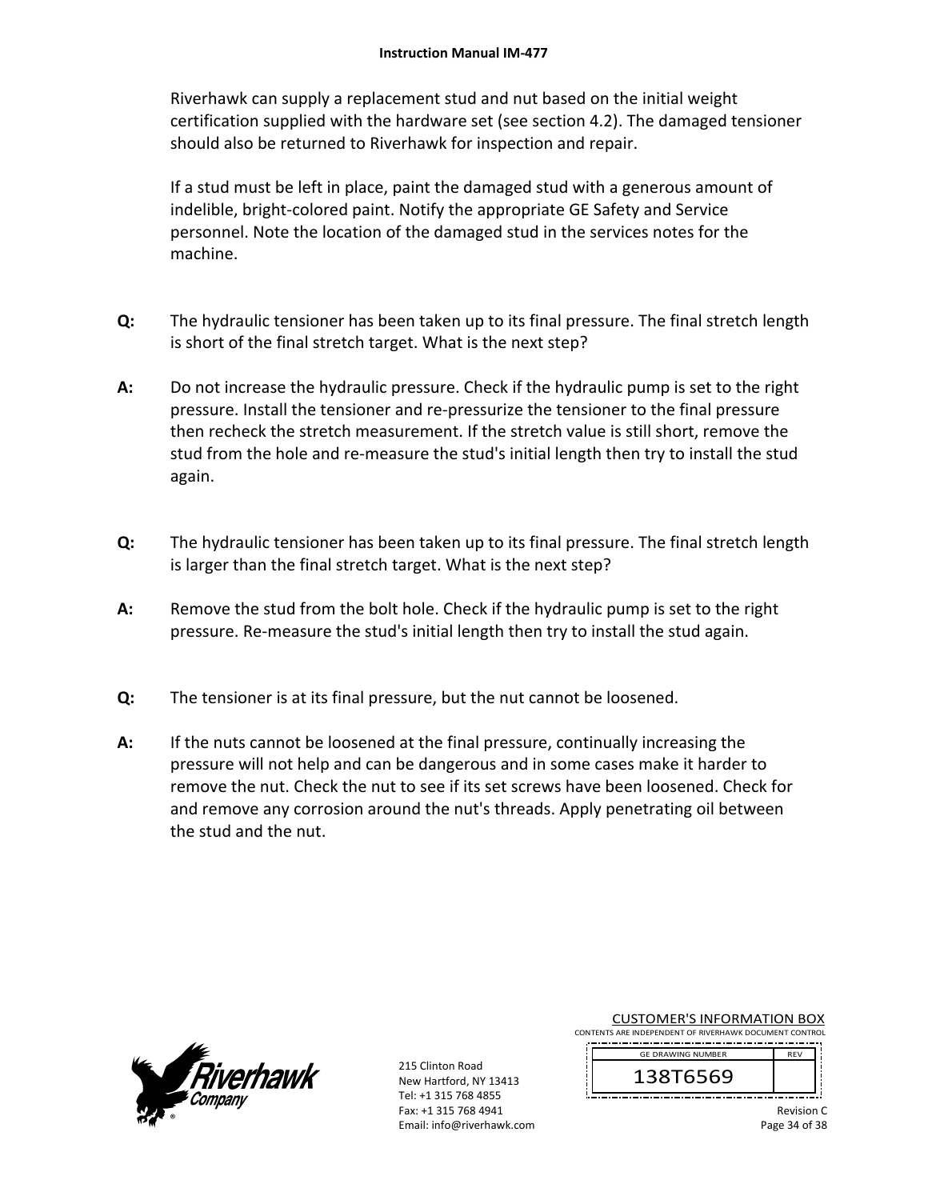Riverhawk can supply a replacement stud and nut based on the initial weight certification supplied with the hardware set (see section 4.2). The damaged tensioner should also be returned to Riverhawk for inspection and repair.

If a stud must be left in place, paint the damaged stud with a generous amount of indelible, bright‐colored paint. Notify the appropriate GE Safety and Service personnel. Note the location of the damaged stud in the services notes for the machine.

- **Q:**  The hydraulic tensioner has been taken up to its final pressure. The final stretch length is short of the final stretch target. What is the next step?
- **A:**  Do not increase the hydraulic pressure. Check if the hydraulic pump is set to the right pressure. Install the tensioner and re‐pressurize the tensioner to the final pressure then recheck the stretch measurement. If the stretch value is still short, remove the stud from the hole and re-measure the stud's initial length then try to install the stud again.
- **Q:**  The hydraulic tensioner has been taken up to its final pressure. The final stretch length is larger than the final stretch target. What is the next step?
- **A:**  Remove the stud from the bolt hole. Check if the hydraulic pump is set to the right pressure. Re‐measure the stud's initial length then try to install the stud again.
- **Q:**  The tensioner is at its final pressure, but the nut cannot be loosened.
- **A:**  If the nuts cannot be loosened at the final pressure, continually increasing the pressure will not help and can be dangerous and in some cases make it harder to remove the nut. Check the nut to see if its set screws have been loosened. Check for and remove any corrosion around the nut's threads. Apply penetrating oil between the stud and the nut.



215 Clinton Road New Hartford, NY 13413 Tel: +1 315 768 4855 Fax: +1 315 768 4941 Email: info@riverhawk.com CUSTOMER'S INFORMATION BOX

CONTENTS ARE INDEPENDENT OF RIVERHAWK DOCUMENT CONTROL 

> 138T6569 GE DRAWING NUMBER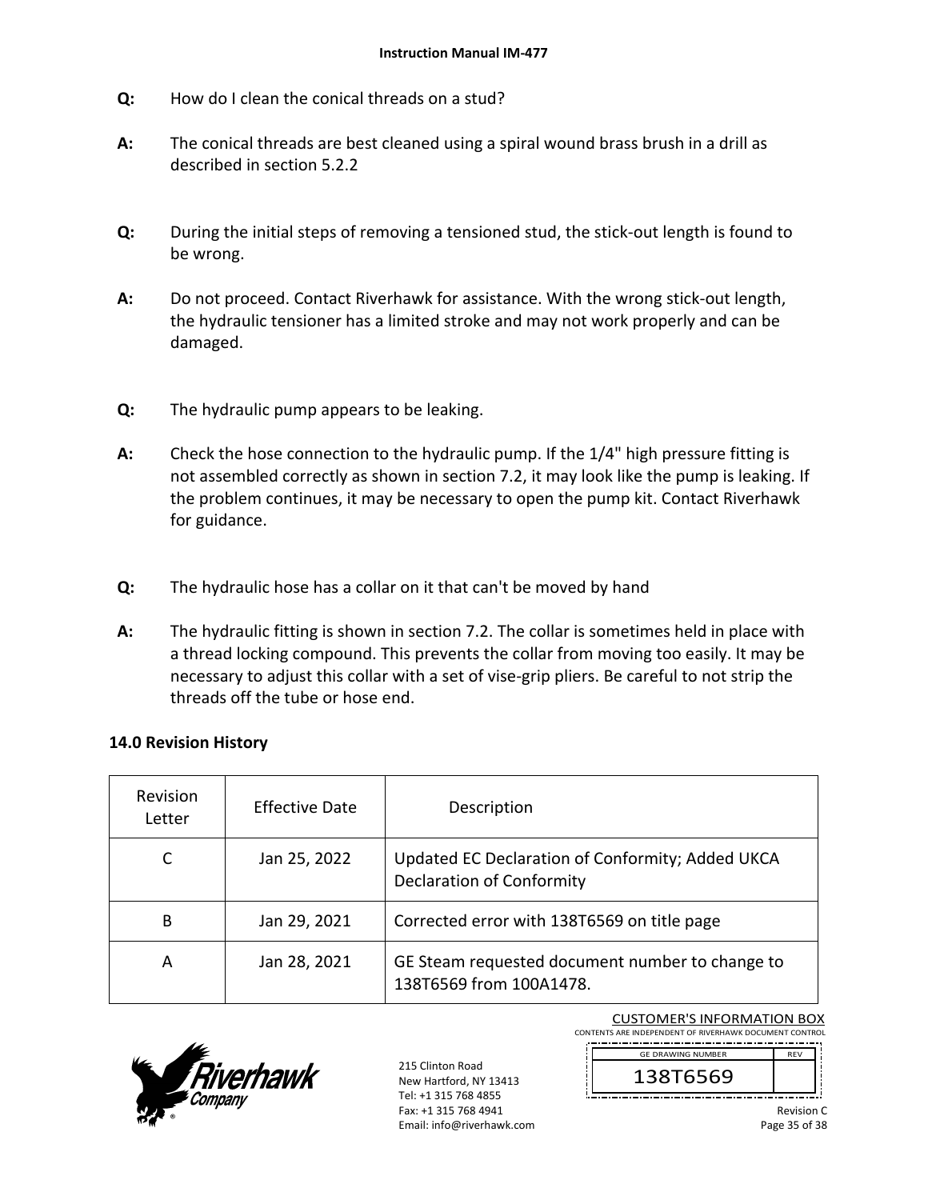- **Q:**  How do I clean the conical threads on a stud?
- **A:**  The conical threads are best cleaned using a spiral wound brass brush in a drill as described in section 5.2.2
- **Q:**  During the initial steps of removing a tensioned stud, the stick‐out length is found to be wrong.
- **A:**  Do not proceed. Contact Riverhawk for assistance. With the wrong stick-out length, the hydraulic tensioner has a limited stroke and may not work properly and can be damaged.
- **Q:**  The hydraulic pump appears to be leaking.
- **A:**  Check the hose connection to the hydraulic pump. If the 1/4" high pressure fitting is not assembled correctly as shown in section 7.2, it may look like the pump is leaking. If the problem continues, it may be necessary to open the pump kit. Contact Riverhawk for guidance.
- **Q:**  The hydraulic hose has a collar on it that can't be moved by hand
- **A:**  The hydraulic fitting is shown in section 7.2. The collar is sometimes held in place with a thread locking compound. This prevents the collar from moving too easily. It may be necessary to adjust this collar with a set of vise-grip pliers. Be careful to not strip the threads off the tube or hose end.

#### **14.0 Revision History**

| <b>Revision</b><br>Letter | <b>Effective Date</b> | Description                                                                          |
|---------------------------|-----------------------|--------------------------------------------------------------------------------------|
|                           | Jan 25, 2022          | Updated EC Declaration of Conformity; Added UKCA<br><b>Declaration of Conformity</b> |
| B                         | Jan 29, 2021          | Corrected error with 138T6569 on title page                                          |
| А                         | Jan 28, 2021          | GE Steam requested document number to change to<br>138T6569 from 100A1478.           |



215 Clinton Road New Hartford, NY 13413 Tel: +1 315 768 4855 Fax: +1 315 768 4941 Email: info@riverhawk.com

CUSTOMER'S INFORMATION BOX CONTENTS ARE INDEPENDENT OF RIVERHAWK DOCUMENT CONTROL

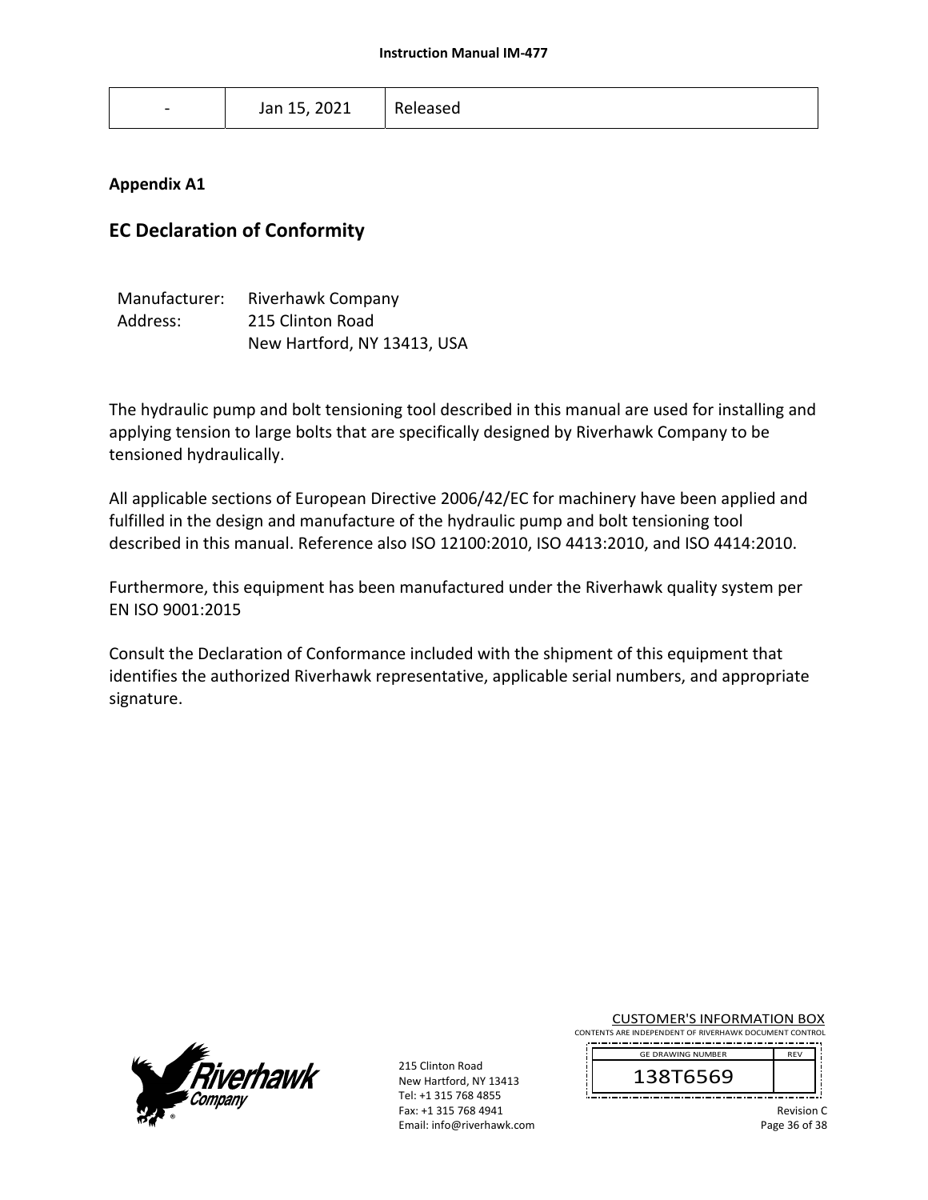| $\overline{\phantom{a}}$ | Jan 15, 2021 | Released |
|--------------------------|--------------|----------|

## **Appendix A1**

# **EC Declaration of Conformity**

| Manufacturer: | <b>Riverhawk Company</b>    |
|---------------|-----------------------------|
| Address:      | 215 Clinton Road            |
|               | New Hartford, NY 13413, USA |

The hydraulic pump and bolt tensioning tool described in this manual are used for installing and applying tension to large bolts that are specifically designed by Riverhawk Company to be tensioned hydraulically.

All applicable sections of European Directive 2006/42/EC for machinery have been applied and fulfilled in the design and manufacture of the hydraulic pump and bolt tensioning tool described in this manual. Reference also ISO 12100:2010, ISO 4413:2010, and ISO 4414:2010.

Furthermore, this equipment has been manufactured under the Riverhawk quality system per EN ISO 9001:2015

Consult the Declaration of Conformance included with the shipment of this equipment that identifies the authorized Riverhawk representative, applicable serial numbers, and appropriate signature.



215 Clinton Road New Hartford, NY 13413 Tel: +1 315 768 4855 Fax: +1 315 768 4941 Email: info@riverhawk.com CUSTOMER'S INFORMATION BOX

CONTENTS ARE INDEPENDENT OF RIVERHAWK DOCUMENT CONTROL 

> 138T6569 GE DRAWING NUMBER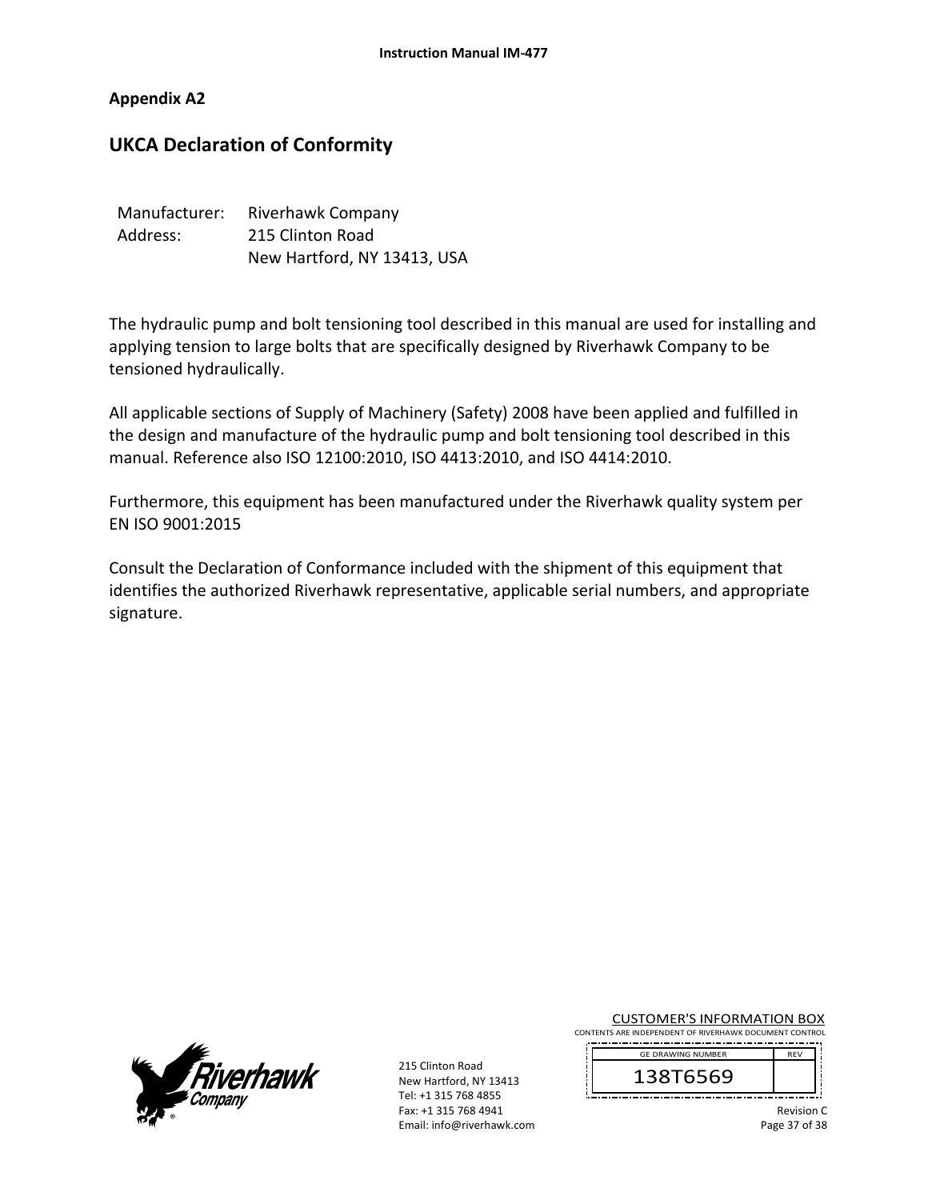### **Appendix A2**

# **UKCA Declaration of Conformity**

| Manufacturer: | Riverhawk Company           |
|---------------|-----------------------------|
| Address:      | 215 Clinton Road            |
|               | New Hartford, NY 13413, USA |

The hydraulic pump and bolt tensioning tool described in this manual are used for installing and applying tension to large bolts that are specifically designed by Riverhawk Company to be tensioned hydraulically.

All applicable sections of Supply of Machinery (Safety) 2008 have been applied and fulfilled in the design and manufacture of the hydraulic pump and bolt tensioning tool described in this manual. Reference also ISO 12100:2010, ISO 4413:2010, and ISO 4414:2010.

Furthermore, this equipment has been manufactured under the Riverhawk quality system per EN ISO 9001:2015

Consult the Declaration of Conformance included with the shipment of this equipment that identifies the authorized Riverhawk representative, applicable serial numbers, and appropriate signature.



215 Clinton Road New Hartford, NY 13413 Tel: +1 315 768 4855 Fax: +1 315 768 4941 Email: info@riverhawk.com CUSTOMER'S INFORMATION BOX

CONTENTS ARE INDEPENDENT OF RIVERHAWK DOCUMENT CONTROL 

> 138T6569 GE DRAWING NUMBER